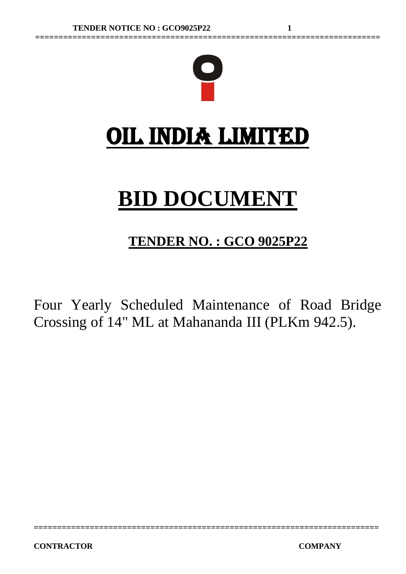

**==========================================================================**

# **BID DOCUMENT**

# **TENDER NO. : GCO 9025P22**

Four Yearly Scheduled Maintenance of Road Bridge Crossing of 14" ML at Mahananda III (PLKm 942.5).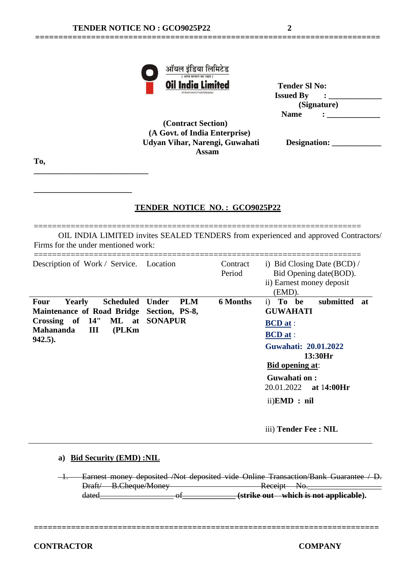| <b>Oil India Limited</b>           | <b>Tender SI No:</b> |
|------------------------------------|----------------------|
| (A Government of India Enterprise) | <b>Issued By</b>     |
|                                    | (Signature)          |
|                                    | <b>Name</b>          |

 **(Contract Section) (A Govt. of India Enterprise) Udyan Vihar, Narengi, Guwahati Assam**

**==========================================================================**

| Designation: |  |
|--------------|--|
|--------------|--|

**To,**

**\_\_\_\_\_\_\_\_\_\_\_\_\_\_\_\_\_\_\_\_\_\_\_\_\_\_\_\_**

**\_\_\_\_\_\_\_\_\_\_\_\_\_\_\_\_\_\_\_\_\_\_\_\_**

# **TENDER NOTICE NO. : GCO9025P22**

======================================================================= OIL INDIA LIMITED invites SEALED TENDERS from experienced and approved Contractors/ Firms for the under mentioned work:

| Description of Work / Service. Location<br>i) Bid Closing Date $(BCD)$ /<br>Contract<br>Period<br>Bid Opening date (BOD).                                                                                                                                                                                                                                                                                                                          |    |
|----------------------------------------------------------------------------------------------------------------------------------------------------------------------------------------------------------------------------------------------------------------------------------------------------------------------------------------------------------------------------------------------------------------------------------------------------|----|
| ii) Earnest money deposit<br>(EMD).                                                                                                                                                                                                                                                                                                                                                                                                                |    |
| <b>6 Months</b><br>submitted<br><b>PLM</b><br>i) To be<br><b>Yearly</b><br>Scheduled Under<br><b>Four</b><br><b>GUWAHATI</b><br><b>Maintenance of Road Bridge</b><br>Section, PS-8,<br>Crossing of 14"<br>ML at SONAPUR<br><b>BCD</b> at :<br><b>Mahananda</b><br>Ш<br>(PLKm)<br><b>BCD</b> at :<br>$942.5$ ).<br>Guwahati: 20.01.2022<br>13:30Hr<br><b>Bid opening at:</b><br>Guwahati on:<br>20.01.2022<br>at 14:00Hr<br>$ii)$ <b>EMD</b> : $ni$ | at |

iii) **Tender Fee : NIL**

#### **a) Bid Security (EMD) :NIL**

 1. Earnest money deposited /Not deposited vide Online Transaction/Bank Guarantee / D. Draft/ B.Cheque/Money Receipt No.\_\_\_\_\_\_\_\_\_\_\_\_\_\_\_\_\_\_ of \_\_\_\_\_\_\_\_\_\_\_\_\_\_\_\_\_ (strike out which is not applicable).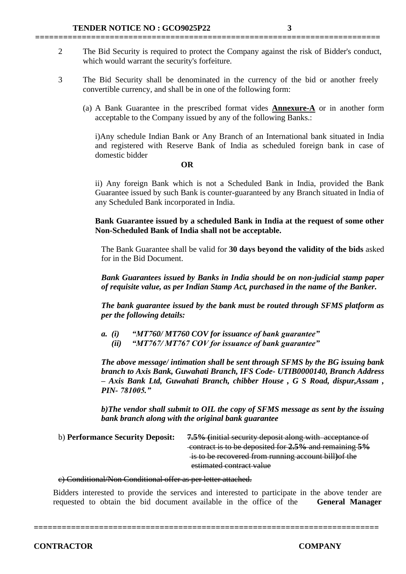2 The Bid Security is required to protect the Company against the risk of Bidder's conduct, which would warrant the security's forfeiture.

**==========================================================================**

- 3 The Bid Security shall be denominated in the currency of the bid or another freely convertible currency, and shall be in one of the following form:
	- (a) A Bank Guarantee in the prescribed format vides **Annexure-A** or in another form acceptable to the Company issued by any of the following Banks.:

i)Any schedule Indian Bank or Any Branch of an International bank situated in India and registered with Reserve Bank of India as scheduled foreign bank in case of domestic bidder

#### **OR**

ii) Any foreign Bank which is not a Scheduled Bank in India, provided the Bank Guarantee issued by such Bank is counter-guaranteed by any Branch situated in India of any Scheduled Bank incorporated in India.

**Bank Guarantee issued by a scheduled Bank in India at the request of some other Non-Scheduled Bank of India shall not be acceptable.**

The Bank Guarantee shall be valid for **30 days beyond the validity of the bids** asked for in the Bid Document.

*Bank Guarantees issued by Banks in India should be on non-judicial stamp paper of requisite value, as per Indian Stamp Act, purchased in the name of the Banker.*

*The bank guarantee issued by the bank must be routed through SFMS platform as per the following details:*

*a. (i) "MT760/ MT760 COV for issuance of bank guarantee"*

 *(ii) "MT767/ MT767 COV for issuance of bank guarantee"*

*The above message/ intimation shall be sent through SFMS by the BG issuing bank branch to Axis Bank, Guwahati Branch, IFS Code- UTIB0000140, Branch Address – Axis Bank Ltd, Guwahati Branch, chibber House , G S Road, dispur,Assam , PIN- 781005."*

*b)The vendor shall submit to OIL the copy of SFMS message as sent by the issuing bank branch along with the original bank guarantee*

b) **Performance Security Deposit: 7.5% (**initial security deposit along with acceptance of contract is to be deposited for **2.5%** and remaining **5%** is to be recovered from running account bill**)**of the estimated contract value

#### c) Conditional/Non Conditional offer as per letter attached.

Bidders interested to provide the services and interested to participate in the above tender are requested to obtain the bid document available in the office of the **General Manager**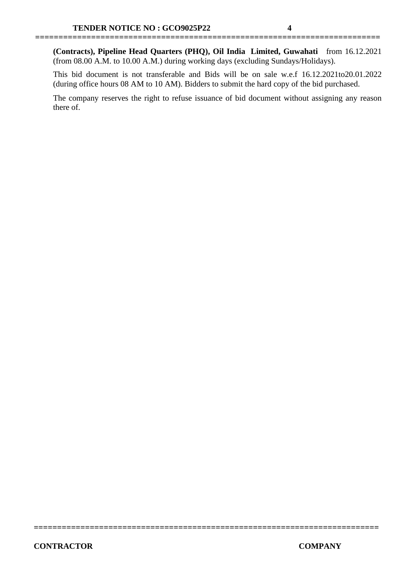**(Contracts), Pipeline Head Quarters (PHQ), Oil India Limited, Guwahati** from 16.12.2021 (from 08.00 A.M. to 10.00 A.M.) during working days (excluding Sundays/Holidays).

**==========================================================================**

This bid document is not transferable and Bids will be on sale w.e.f 16.12.2021to20.01.2022 (during office hours 08 AM to 10 AM). Bidders to submit the hard copy of the bid purchased.

The company reserves the right to refuse issuance of bid document without assigning any reason there of.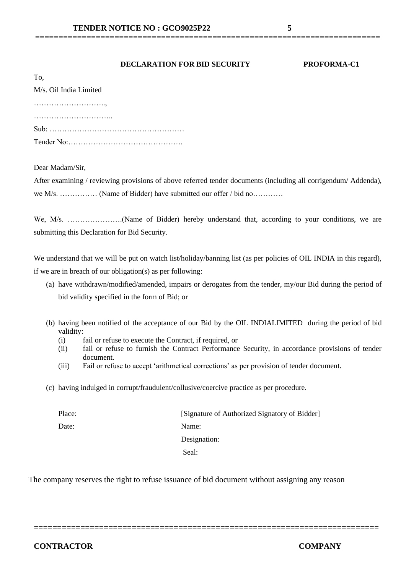#### **DECLARATION FOR BID SECURITY PROFORMA-C1**

**==========================================================================**

| To.                    |
|------------------------|
| M/s. Oil India Limited |
|                        |
|                        |
|                        |
|                        |

Dear Madam/Sir,

After examining / reviewing provisions of above referred tender documents (including all corrigendum/ Addenda), we M/s. …………… (Name of Bidder) have submitted our offer / bid no…………

We, M/s. ………………….(Name of Bidder) hereby understand that, according to your conditions, we are submitting this Declaration for Bid Security.

We understand that we will be put on watch list/holiday/banning list (as per policies of OIL INDIA in this regard), if we are in breach of our obligation(s) as per following:

- (a) have withdrawn/modified/amended, impairs or derogates from the tender, my/our Bid during the period of bid validity specified in the form of Bid; or
- (b) having been notified of the acceptance of our Bid by the OIL INDIALIMITED during the period of bid validity:
	- (i) fail or refuse to execute the Contract, if required, or
	- (ii) fail or refuse to furnish the Contract Performance Security, in accordance provisions of tender document.
	- (iii) Fail or refuse to accept 'arithmetical corrections' as per provision of tender document.
- (c) having indulged in corrupt/fraudulent/collusive/coercive practice as per procedure.

| Place: | [Signature of Authorized Signatory of Bidder] |
|--------|-----------------------------------------------|
| Date:  | Name:                                         |
|        | Designation:                                  |
|        | Seal:                                         |

The company reserves the right to refuse issuance of bid document without assigning any reason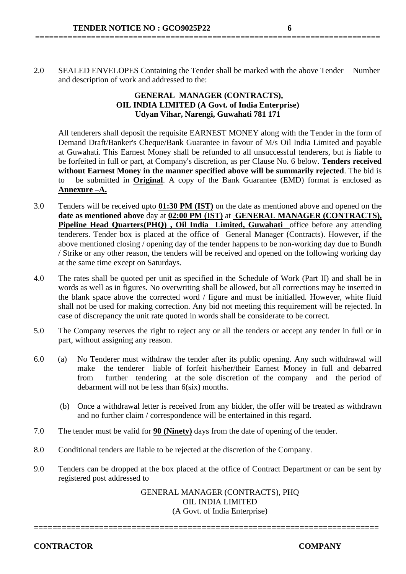2.0 SEALED ENVELOPES Containing the Tender shall be marked with the above Tender Number and description of work and addressed to the:

**==========================================================================**

# **GENERAL MANAGER (CONTRACTS), OIL INDIA LIMITED (A Govt. of India Enterprise) Udyan Vihar, Narengi, Guwahati 781 171**

All tenderers shall deposit the requisite EARNEST MONEY along with the Tender in the form of Demand Draft/Banker's Cheque/Bank Guarantee in favour of M/s Oil India Limited and payable at Guwahati. This Earnest Money shall be refunded to all unsuccessful tenderers, but is liable to be forfeited in full or part, at Company's discretion, as per Clause No. 6 below. **Tenders received without Earnest Money in the manner specified above will be summarily rejected**. The bid is to be submitted in **Original**. A copy of the Bank Guarantee (EMD) format is enclosed as **Annexure –A.**

- 3.0 Tenders will be received upto **01:30 PM (IST)** on the date as mentioned above and opened on the **date as mentioned above** day at **02:00 PM (IST)** at **GENERAL MANAGER (CONTRACTS), Pipeline Head Quarters(PHQ) , Oil India Limited, Guwahati** office before any attending tenderers. Tender box is placed at the office of General Manager (Contracts). However, if the above mentioned closing / opening day of the tender happens to be non-working day due to Bundh / Strike or any other reason, the tenders will be received and opened on the following working day at the same time except on Saturdays.
- 4.0 The rates shall be quoted per unit as specified in the Schedule of Work (Part II) and shall be in words as well as in figures. No overwriting shall be allowed, but all corrections may be inserted in the blank space above the corrected word / figure and must be initialled. However, white fluid shall not be used for making correction. Any bid not meeting this requirement will be rejected. In case of discrepancy the unit rate quoted in words shall be considerate to be correct.
- 5.0 The Company reserves the right to reject any or all the tenders or accept any tender in full or in part, without assigning any reason.
- 6.0 (a) No Tenderer must withdraw the tender after its public opening. Any such withdrawal will make the tenderer liable of forfeit his/her/their Earnest Money in full and debarred from further tendering at the sole discretion of the company and the period of debarment will not be less than 6(six) months.
	- (b) Once a withdrawal letter is received from any bidder, the offer will be treated as withdrawn and no further claim / correspondence will be entertained in this regard.
- 7.0 The tender must be valid for **90 (Ninety)** days from the date of opening of the tender.
- 8.0 Conditional tenders are liable to be rejected at the discretion of the Company.
- 9.0 Tenders can be dropped at the box placed at the office of Contract Department or can be sent by registered post addressed to

GENERAL MANAGER (CONTRACTS), PHQ OIL INDIA LIMITED (A Govt. of India Enterprise)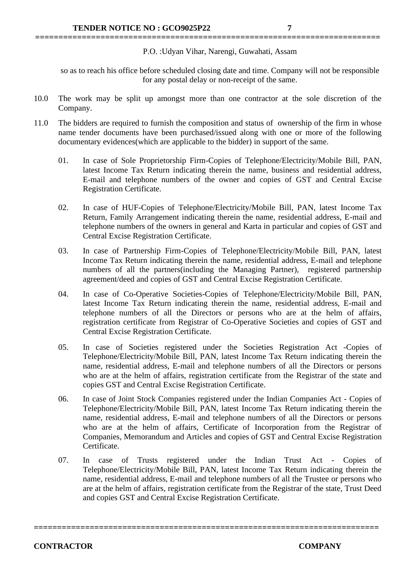P.O. :Udyan Vihar, Narengi, Guwahati, Assam

so as to reach his office before scheduled closing date and time. Company will not be responsible for any postal delay or non-receipt of the same.

10.0 The work may be split up amongst more than one contractor at the sole discretion of the Company.

**==========================================================================**

- 11.0 The bidders are required to furnish the composition and status of ownership of the firm in whose name tender documents have been purchased/issued along with one or more of the following documentary evidences(which are applicable to the bidder) in support of the same.
	- 01. In case of Sole Proprietorship Firm-Copies of Telephone/Electricity/Mobile Bill, PAN, latest Income Tax Return indicating therein the name, business and residential address, E-mail and telephone numbers of the owner and copies of GST and Central Excise Registration Certificate.
	- 02. In case of HUF-Copies of Telephone/Electricity/Mobile Bill, PAN, latest Income Tax Return, Family Arrangement indicating therein the name, residential address, E-mail and telephone numbers of the owners in general and Karta in particular and copies of GST and Central Excise Registration Certificate.
	- 03. In case of Partnership Firm-Copies of Telephone/Electricity/Mobile Bill, PAN, latest Income Tax Return indicating therein the name, residential address, E-mail and telephone numbers of all the partners(including the Managing Partner), registered partnership agreement/deed and copies of GST and Central Excise Registration Certificate.
	- 04. In case of Co-Operative Societies-Copies of Telephone/Electricity/Mobile Bill, PAN, latest Income Tax Return indicating therein the name, residential address, E-mail and telephone numbers of all the Directors or persons who are at the helm of affairs, registration certificate from Registrar of Co-Operative Societies and copies of GST and Central Excise Registration Certificate.
	- 05. In case of Societies registered under the Societies Registration Act -Copies of Telephone/Electricity/Mobile Bill, PAN, latest Income Tax Return indicating therein the name, residential address, E-mail and telephone numbers of all the Directors or persons who are at the helm of affairs, registration certificate from the Registrar of the state and copies GST and Central Excise Registration Certificate.
	- 06. In case of Joint Stock Companies registered under the Indian Companies Act Copies of Telephone/Electricity/Mobile Bill, PAN, latest Income Tax Return indicating therein the name, residential address, E-mail and telephone numbers of all the Directors or persons who are at the helm of affairs, Certificate of Incorporation from the Registrar of Companies, Memorandum and Articles and copies of GST and Central Excise Registration Certificate.
	- 07. In case of Trusts registered under the Indian Trust Act Copies of Telephone/Electricity/Mobile Bill, PAN, latest Income Tax Return indicating therein the name, residential address, E-mail and telephone numbers of all the Trustee or persons who are at the helm of affairs, registration certificate from the Registrar of the state, Trust Deed and copies GST and Central Excise Registration Certificate.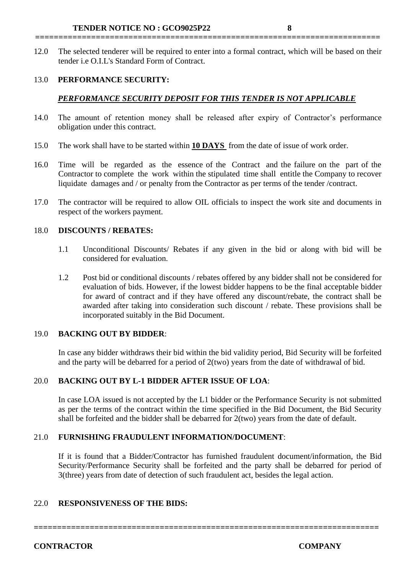12.0 The selected tenderer will be required to enter into a formal contract, which will be based on their tender i.e O.I.L's Standard Form of Contract.

**==========================================================================**

# 13.0 **PERFORMANCE SECURITY:**

# *PERFORMANCE SECURITY DEPOSIT FOR THIS TENDER IS NOT APPLICABLE*

- 14.0 The amount of retention money shall be released after expiry of Contractor's performance obligation under this contract.
- 15.0 The work shall have to be started within **10 DAYS** from the date of issue of work order.
- 16.0 Time will be regarded as the essence of the Contract and the failure on the part of the Contractor to complete the work within the stipulated time shall entitle the Company to recover liquidate damages and / or penalty from the Contractor as per terms of the tender /contract.
- 17.0 The contractor will be required to allow OIL officials to inspect the work site and documents in respect of the workers payment.

#### 18.0 **DISCOUNTS / REBATES:**

- 1.1 Unconditional Discounts/ Rebates if any given in the bid or along with bid will be considered for evaluation.
- 1.2 Post bid or conditional discounts / rebates offered by any bidder shall not be considered for evaluation of bids. However, if the lowest bidder happens to be the final acceptable bidder for award of contract and if they have offered any discount/rebate, the contract shall be awarded after taking into consideration such discount / rebate. These provisions shall be incorporated suitably in the Bid Document.

# 19.0 **BACKING OUT BY BIDDER**:

In case any bidder withdraws their bid within the bid validity period, Bid Security will be forfeited and the party will be debarred for a period of 2(two) years from the date of withdrawal of bid.

# 20.0 **BACKING OUT BY L-1 BIDDER AFTER ISSUE OF LOA**:

In case LOA issued is not accepted by the L1 bidder or the Performance Security is not submitted as per the terms of the contract within the time specified in the Bid Document, the Bid Security shall be forfeited and the bidder shall be debarred for 2(two) years from the date of default.

# 21.0 **FURNISHING FRAUDULENT INFORMATION/DOCUMENT**:

If it is found that a Bidder/Contractor has furnished fraudulent document/information, the Bid Security/Performance Security shall be forfeited and the party shall be debarred for period of 3(three) years from date of detection of such fraudulent act, besides the legal action.

# 22.0 **RESPONSIVENESS OF THE BIDS:**

**==========================================================================**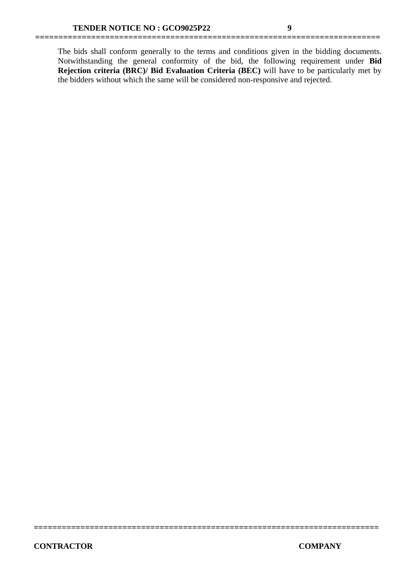The bids shall conform generally to the terms and conditions given in the bidding documents. Notwithstanding the general conformity of the bid, the following requirement under **Bid Rejection criteria (BRC)/ Bid Evaluation Criteria (BEC)** will have to be particularly met by the bidders without which the same will be considered non-responsive and rejected.

**==========================================================================**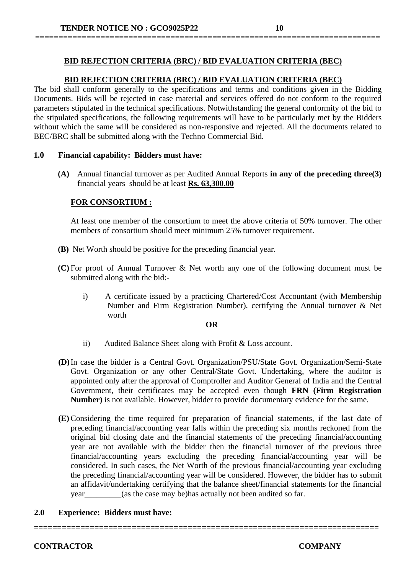# **BID REJECTION CRITERIA (BRC) / BID EVALUATION CRITERIA (BEC)**

**==========================================================================**

# **BID REJECTION CRITERIA (BRC) / BID EVALUATION CRITERIA (BEC)**

The bid shall conform generally to the specifications and terms and conditions given in the Bidding Documents. Bids will be rejected in case material and services offered do not conform to the required parameters stipulated in the technical specifications. Notwithstanding the general conformity of the bid to the stipulated specifications, the following requirements will have to be particularly met by the Bidders without which the same will be considered as non-responsive and rejected. All the documents related to BEC/BRC shall be submitted along with the Techno Commercial Bid.

#### **1.0 Financial capability: Bidders must have:**

**(A)** Annual financial turnover as per Audited Annual Reports **in any of the preceding three(3)**  financial years should be at least **Rs. 63,300.00**

#### **FOR CONSORTIUM :**

At least one member of the consortium to meet the above criteria of 50% turnover. The other members of consortium should meet minimum 25% turnover requirement.

- **(B)** Net Worth should be positive for the preceding financial year.
- **(C)** For proof of Annual Turnover & Net worth any one of the following document must be submitted along with the bid:
	- i) A certificate issued by a practicing Chartered/Cost Accountant (with Membership Number and Firm Registration Number), certifying the Annual turnover & Net worth

#### **OR**

- ii) Audited Balance Sheet along with Profit & Loss account.
- **(D)**In case the bidder is a Central Govt. Organization/PSU/State Govt. Organization/Semi-State Govt. Organization or any other Central/State Govt. Undertaking, where the auditor is appointed only after the approval of Comptroller and Auditor General of India and the Central Government, their certificates may be accepted even though **FRN (Firm Registration Number)** is not available. However, bidder to provide documentary evidence for the same.
- **(E)**Considering the time required for preparation of financial statements, if the last date of preceding financial/accounting year falls within the preceding six months reckoned from the original bid closing date and the financial statements of the preceding financial/accounting year are not available with the bidder then the financial turnover of the previous three financial/accounting years excluding the preceding financial/accounting year will be considered. In such cases, the Net Worth of the previous financial/accounting year excluding the preceding financial/accounting year will be considered. However, the bidder has to submit an affidavit/undertaking certifying that the balance sheet/financial statements for the financial year (as the case may be)has actually not been audited so far.

**==========================================================================**

#### **2.0 Experience: Bidders must have:**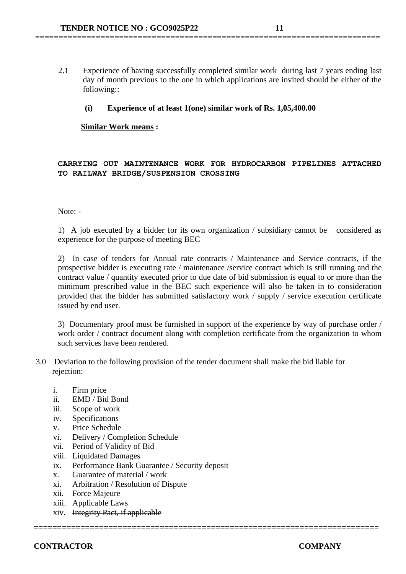2.1 Experience of having successfully completed similar work during last 7 years ending last day of month previous to the one in which applications are invited should be either of the following::

#### **(i) Experience of at least 1(one) similar work of Rs. 1,05,400.00**

**==========================================================================**

#### **Similar Work means :**

#### **CARRYING OUT MAINTENANCE WORK FOR HYDROCARBON PIPELINES ATTACHED TO RAILWAY BRIDGE/SUSPENSION CROSSING**

Note: -

1) A job executed by a bidder for its own organization / subsidiary cannot be considered as experience for the purpose of meeting BEC

2) In case of tenders for Annual rate contracts / Maintenance and Service contracts, if the prospective bidder is executing rate / maintenance /service contract which is still running and the contract value / quantity executed prior to due date of bid submission is equal to or more than the minimum prescribed value in the BEC such experience will also be taken in to consideration provided that the bidder has submitted satisfactory work / supply / service execution certificate issued by end user.

3) Documentary proof must be furnished in support of the experience by way of purchase order / work order / contract document along with completion certificate from the organization to whom such services have been rendered.

3.0 Deviation to the following provision of the tender document shall make the bid liable for rejection:

**==========================================================================**

- i. Firm price
- ii. EMD / Bid Bond
- iii. Scope of work
- iv. Specifications
- v. Price Schedule
- vi. Delivery / Completion Schedule
- vii. Period of Validity of Bid
- viii. Liquidated Damages
- ix. Performance Bank Guarantee / Security deposit
- x. Guarantee of material / work
- xi. Arbitration / Resolution of Dispute
- xii. Force Majeure
- xiii. Applicable Laws
- xiv. Integrity Pact, if applicable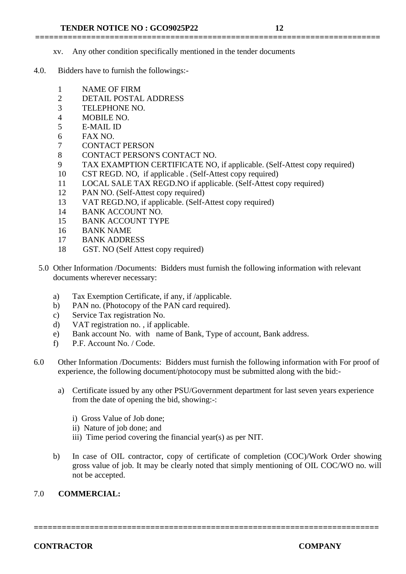- xv. Any other condition specifically mentioned in the tender documents
- 4.0. Bidders have to furnish the followings:-
	- 1 NAME OF FIRM
	- 2 DETAIL POSTAL ADDRESS
	- 3 TELEPHONE NO.
	- 4 MOBILE NO.
	- 5 E-MAIL ID
	- 6 FAX NO.
	- 7 CONTACT PERSON
	- 8 CONTACT PERSON'S CONTACT NO.
	- 9 TAX EXAMPTION CERTIFICATE NO, if applicable. (Self-Attest copy required)

**==========================================================================**

- 10 CST REGD. NO, if applicable . (Self-Attest copy required)
- 11 LOCAL SALE TAX REGD.NO if applicable. (Self-Attest copy required)
- 12 PAN NO. (Self-Attest copy required)
- 13 VAT REGD.NO, if applicable. (Self-Attest copy required)
- 14 BANK ACCOUNT NO.
- 15 BANK ACCOUNT TYPE
- 16 BANK NAME
- 17 BANK ADDRESS
- 18 GST. NO (Self Attest copy required)
- 5.0 Other Information /Documents: Bidders must furnish the following information with relevant documents wherever necessary:
	- a) Tax Exemption Certificate, if any, if /applicable.
	- b) PAN no. (Photocopy of the PAN card required).
	- c) Service Tax registration No.
	- d) VAT registration no. , if applicable.
	- e) Bank account No. with name of Bank, Type of account, Bank address.
	- f) P.F. Account No. / Code.
- 6.0 Other Information /Documents: Bidders must furnish the following information with For proof of experience, the following document/photocopy must be submitted along with the bid:
	- a) Certificate issued by any other PSU/Government department for last seven years experience from the date of opening the bid, showing:-:
		- i) Gross Value of Job done;
		- ii) Nature of job done; and
		- iii) Time period covering the financial year(s) as per NIT.
	- b) In case of OIL contractor, copy of certificate of completion (COC)/Work Order showing gross value of job. It may be clearly noted that simply mentioning of OIL COC/WO no. will not be accepted.

#### 7.0 **COMMERCIAL:**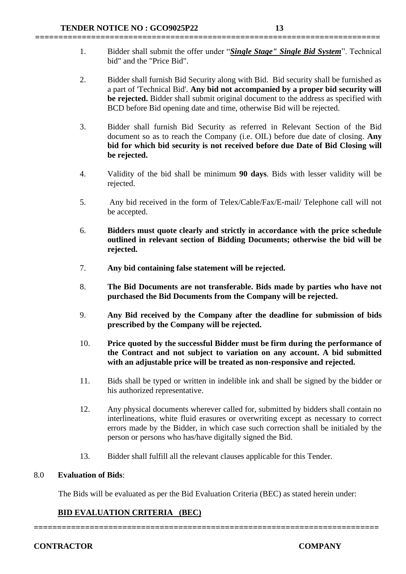1. Bidder shall submit the offer under "*Single Stage" Single Bid System*". Technical bid" and the "Price Bid".

**==========================================================================**

- 2. Bidder shall furnish Bid Security along with Bid. Bid security shall be furnished as a part of 'Technical Bid'. **Any bid not accompanied by a proper bid security will be rejected.** Bidder shall submit original document to the address as specified with BCD before Bid opening date and time, otherwise Bid will be rejected.
- 3. Bidder shall furnish Bid Security as referred in Relevant Section of the Bid document so as to reach the Company (i.e. OIL) before due date of closing. **Any bid for which bid security is not received before due Date of Bid Closing will be rejected.**
- 4. Validity of the bid shall be minimum **90 days**. Bids with lesser validity will be rejected.
- 5. Any bid received in the form of Telex/Cable/Fax/E-mail/ Telephone call will not be accepted.
- 6. **Bidders must quote clearly and strictly in accordance with the price schedule outlined in relevant section of Bidding Documents; otherwise the bid will be rejected.**
- 7. **Any bid containing false statement will be rejected.**
- 8. **The Bid Documents are not transferable. Bids made by parties who have not purchased the Bid Documents from the Company will be rejected.**
- 9. **Any Bid received by the Company after the deadline for submission of bids prescribed by the Company will be rejected.**
- 10. **Price quoted by the successful Bidder must be firm during the performance of the Contract and not subject to variation on any account. A bid submitted with an adjustable price will be treated as non-responsive and rejected.**
- 11. Bids shall be typed or written in indelible ink and shall be signed by the bidder or his authorized representative.
- 12. Any physical documents wherever called for, submitted by bidders shall contain no interlineations, white fluid erasures or overwriting except as necessary to correct errors made by the Bidder, in which case such correction shall be initialed by the person or persons who has/have digitally signed the Bid.
- 13. Bidder shall fulfill all the relevant clauses applicable for this Tender.

#### 8.0 **Evaluation of Bids**:

The Bids will be evaluated as per the Bid Evaluation Criteria (BEC) as stated herein under:

# **BID EVALUATION CRITERIA (BEC)**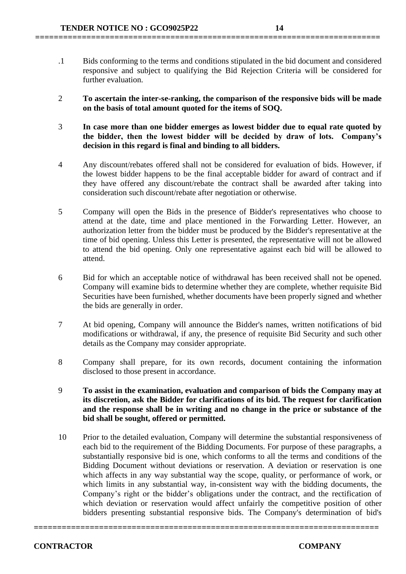.1 Bids conforming to the terms and conditions stipulated in the bid document and considered responsive and subject to qualifying the Bid Rejection Criteria will be considered for further evaluation.

**==========================================================================**

- 2 **To ascertain the inter-se-ranking, the comparison of the responsive bids will be made on the basis of total amount quoted for the items of SOQ.**
- 3 **In case more than one bidder emerges as lowest bidder due to equal rate quoted by the bidder, then the lowest bidder will be decided by draw of lots. Company's decision in this regard is final and binding to all bidders.**
- 4 Any discount/rebates offered shall not be considered for evaluation of bids. However, if the lowest bidder happens to be the final acceptable bidder for award of contract and if they have offered any discount/rebate the contract shall be awarded after taking into consideration such discount/rebate after negotiation or otherwise.
- 5 Company will open the Bids in the presence of Bidder's representatives who choose to attend at the date, time and place mentioned in the Forwarding Letter. However, an authorization letter from the bidder must be produced by the Bidder's representative at the time of bid opening. Unless this Letter is presented, the representative will not be allowed to attend the bid opening. Only one representative against each bid will be allowed to attend.
- 6 Bid for which an acceptable notice of withdrawal has been received shall not be opened. Company will examine bids to determine whether they are complete, whether requisite Bid Securities have been furnished, whether documents have been properly signed and whether the bids are generally in order.
- 7 At bid opening, Company will announce the Bidder's names, written notifications of bid modifications or withdrawal, if any, the presence of requisite Bid Security and such other details as the Company may consider appropriate.
- 8 Company shall prepare, for its own records, document containing the information disclosed to those present in accordance.
- 9 **To assist in the examination, evaluation and comparison of bids the Company may at its discretion, ask the Bidder for clarifications of its bid. The request for clarification and the response shall be in writing and no change in the price or substance of the bid shall be sought, offered or permitted.**
- 10 Prior to the detailed evaluation, Company will determine the substantial responsiveness of each bid to the requirement of the Bidding Documents. For purpose of these paragraphs, a substantially responsive bid is one, which conforms to all the terms and conditions of the Bidding Document without deviations or reservation. A deviation or reservation is one which affects in any way substantial way the scope, quality, or performance of work, or which limits in any substantial way, in-consistent way with the bidding documents, the Company's right or the bidder's obligations under the contract, and the rectification of which deviation or reservation would affect unfairly the competitive position of other bidders presenting substantial responsive bids. The Company's determination of bid's

**==========================================================================**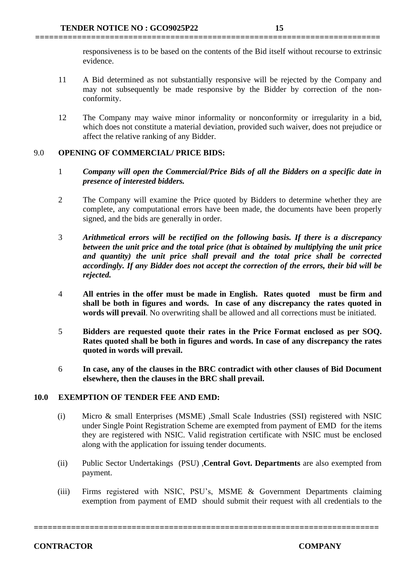responsiveness is to be based on the contents of the Bid itself without recourse to extrinsic evidence.

11 A Bid determined as not substantially responsive will be rejected by the Company and may not subsequently be made responsive by the Bidder by correction of the nonconformity.

**==========================================================================**

12 The Company may waive minor informality or nonconformity or irregularity in a bid, which does not constitute a material deviation, provided such waiver, does not prejudice or affect the relative ranking of any Bidder.

# 9.0 **OPENING OF COMMERCIAL/ PRICE BIDS:**

- 1 *Company will open the Commercial/Price Bids of all the Bidders on a specific date in presence of interested bidders.*
- 2 The Company will examine the Price quoted by Bidders to determine whether they are complete, any computational errors have been made, the documents have been properly signed, and the bids are generally in order.
- 3 *Arithmetical errors will be rectified on the following basis. If there is a discrepancy between the unit price and the total price (that is obtained by multiplying the unit price and quantity) the unit price shall prevail and the total price shall be corrected accordingly. If any Bidder does not accept the correction of the errors, their bid will be rejected.*
- 4 **All entries in the offer must be made in English. Rates quoted must be firm and shall be both in figures and words. In case of any discrepancy the rates quoted in words will prevail**. No overwriting shall be allowed and all corrections must be initiated.
- 5 **Bidders are requested quote their rates in the Price Format enclosed as per SOQ. Rates quoted shall be both in figures and words. In case of any discrepancy the rates quoted in words will prevail.**
- 6 **In case, any of the clauses in the BRC contradict with other clauses of Bid Document elsewhere, then the clauses in the BRC shall prevail.**

#### **10.0 EXEMPTION OF TENDER FEE AND EMD:**

- (i) Micro & small Enterprises (MSME) ,Small Scale Industries (SSI) registered with NSIC under Single Point Registration Scheme are exempted from payment of EMD for the items they are registered with NSIC. Valid registration certificate with NSIC must be enclosed along with the application for issuing tender documents.
- (ii) Public Sector Undertakings (PSU) ,**Central Govt. Departments** are also exempted from payment.
- (iii) Firms registered with NSIC, PSU's, MSME & Government Departments claiming exemption from payment of EMD should submit their request with all credentials to the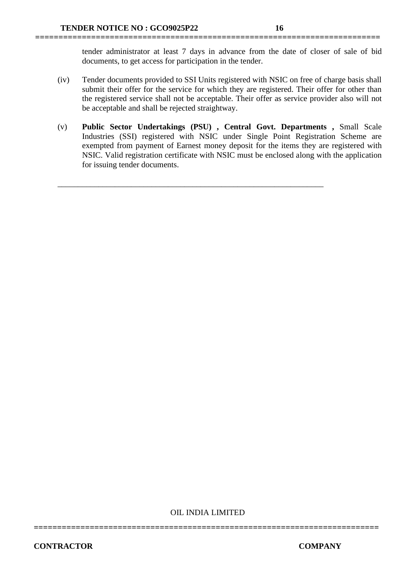tender administrator at least 7 days in advance from the date of closer of sale of bid documents, to get access for participation in the tender.

(iv) Tender documents provided to SSI Units registered with NSIC on free of charge basis shall submit their offer for the service for which they are registered. Their offer for other than the registered service shall not be acceptable. Their offer as service provider also will not be acceptable and shall be rejected straightway.

**==========================================================================**

(v) **Public Sector Undertakings (PSU) , Central Govt. Departments ,** Small Scale Industries (SSI) registered with NSIC under Single Point Registration Scheme are exempted from payment of Earnest money deposit for the items they are registered with NSIC. Valid registration certificate with NSIC must be enclosed along with the application for issuing tender documents.

\_\_\_\_\_\_\_\_\_\_\_\_\_\_\_\_\_\_\_\_\_\_\_\_\_\_\_\_\_\_\_\_\_\_\_\_\_\_\_\_\_\_\_\_\_\_\_\_\_\_\_\_\_\_\_\_\_\_\_\_\_\_\_\_\_

OIL INDIA LIMITED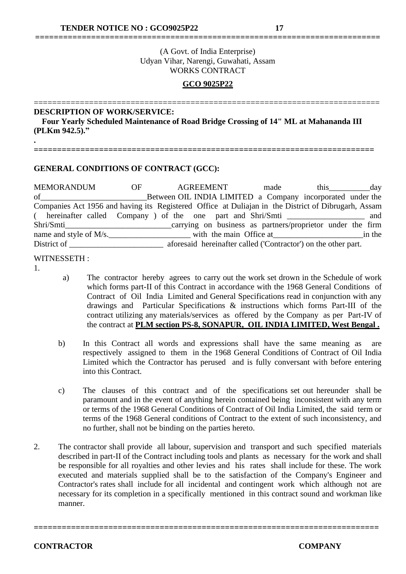# (A Govt. of India Enterprise) Udyan Vihar, Narengi, Guwahati, Assam WORKS CONTRACT

**==========================================================================**

# **GCO 9025P22**

#### =========================================================================== **DESCRIPTION OF WORK/SERVICE:**

 **Four Yearly Scheduled Maintenance of Road Bridge Crossing of 14" ML at Mahananda III (PLKm 942.5)."**

**=========================================================================**

# **GENERAL CONDITIONS OF CONTRACT (GCC):**

MEMORANDUM OF AGREEMENT made this day of\_\_\_\_\_\_\_\_\_\_\_\_\_\_\_\_\_\_\_\_\_\_\_\_\_\_Between OIL INDIA LIMITED a Company incorporated under the Companies Act 1956 and having its Registered Office at Duliajan in the District of Dibrugarh, Assam ( hereinafter called Company ) of the one part and Shri/Smti \_\_\_\_\_\_\_\_\_\_\_\_\_\_\_\_\_\_\_ and Shri/Smti\_\_\_\_\_\_\_\_\_\_\_\_\_\_\_\_\_\_\_\_\_\_\_\_\_\_carrying on business as partners/proprietor under the firm name and style of M/s. District of \_\_\_\_\_\_\_\_\_\_\_\_\_\_\_\_\_\_\_\_\_\_\_\_\_\_\_\_\_\_\_\_\_ aforesaid hereinafter called ('Contractor') on the other part.

#### WITNESSETH ·

1.

**.**

- a) The contractor hereby agrees to carry out the work set drown in the Schedule of work which forms part-II of this Contract in accordance with the 1968 General Conditions of Contract of Oil India Limited and General Specifications read in conjunction with any drawings and Particular Specifications & instructions which forms Part-III of the contract utilizing any materials/services as offered by the Company as per Part-IV of the contract at **PLM section PS-8, SONAPUR, OIL INDIA LIMITED, West Bengal .**
- b) In this Contract all words and expressions shall have the same meaning as are respectively assigned to them in the 1968 General Conditions of Contract of Oil India Limited which the Contractor has perused and is fully conversant with before entering into this Contract.
- c) The clauses of this contract and of the specifications set out hereunder shall be paramount and in the event of anything herein contained being inconsistent with any term or terms of the 1968 General Conditions of Contract of Oil India Limited, the said term or terms of the 1968 General conditions of Contract to the extent of such inconsistency, and no further, shall not be binding on the parties hereto.
- 2. The contractor shall provide all labour, supervision and transport and such specified materials described in part-II of the Contract including tools and plants as necessary for the work and shall be responsible for all royalties and other levies and his rates shall include for these. The work executed and materials supplied shall be to the satisfaction of the Company's Engineer and Contractor's rates shall include for all incidental and contingent work which although not are necessary for its completion in a specifically mentioned in this contract sound and workman like manner.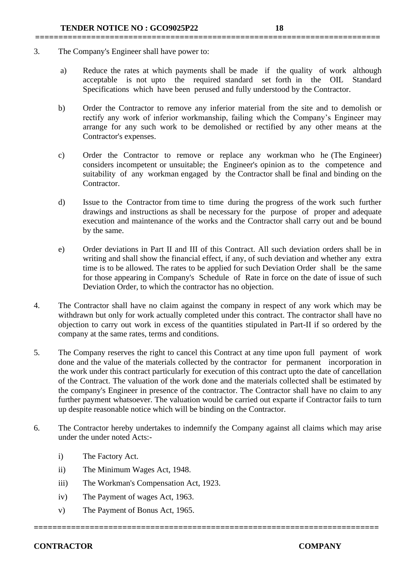- 3. The Company's Engineer shall have power to:
	- a) Reduce the rates at which payments shall be made if the quality of work although acceptable is not upto the required standard set forth in the OIL Standard Specifications which have been perused and fully understood by the Contractor.

**==========================================================================**

- b) Order the Contractor to remove any inferior material from the site and to demolish or rectify any work of inferior workmanship, failing which the Company's Engineer may arrange for any such work to be demolished or rectified by any other means at the Contractor's expenses.
- c) Order the Contractor to remove or replace any workman who he (The Engineer) considers incompetent or unsuitable; the Engineer's opinion as to the competence and suitability of any workman engaged by the Contractor shall be final and binding on the Contractor.
- d) Issue to the Contractor from time to time during the progress of the work such further drawings and instructions as shall be necessary for the purpose of proper and adequate execution and maintenance of the works and the Contractor shall carry out and be bound by the same.
- e) Order deviations in Part II and III of this Contract. All such deviation orders shall be in writing and shall show the financial effect, if any, of such deviation and whether any extra time is to be allowed. The rates to be applied for such Deviation Order shall be the same for those appearing in Company's Schedule of Rate in force on the date of issue of such Deviation Order, to which the contractor has no objection.
- 4. The Contractor shall have no claim against the company in respect of any work which may be withdrawn but only for work actually completed under this contract. The contractor shall have no objection to carry out work in excess of the quantities stipulated in Part-II if so ordered by the company at the same rates, terms and conditions.
- 5. The Company reserves the right to cancel this Contract at any time upon full payment of work done and the value of the materials collected by the contractor for permanent incorporation in the work under this contract particularly for execution of this contract upto the date of cancellation of the Contract. The valuation of the work done and the materials collected shall be estimated by the company's Engineer in presence of the contractor. The Contractor shall have no claim to any further payment whatsoever. The valuation would be carried out exparte if Contractor fails to turn up despite reasonable notice which will be binding on the Contractor.
- 6. The Contractor hereby undertakes to indemnify the Company against all claims which may arise under the under noted Acts:-

**==========================================================================**

- i) The Factory Act.
- ii) The Minimum Wages Act, 1948.
- iii) The Workman's Compensation Act, 1923.
- iv) The Payment of wages Act, 1963.
- v) The Payment of Bonus Act, 1965.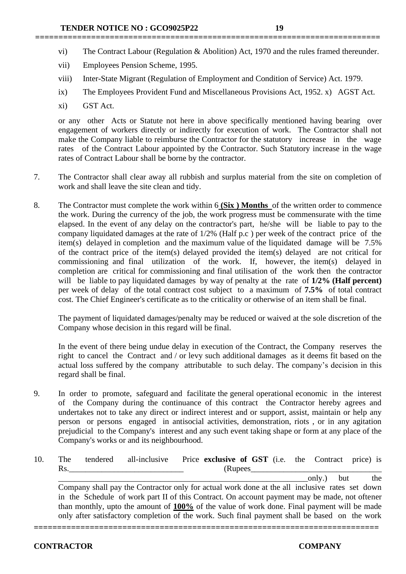- vi) The Contract Labour (Regulation & Abolition) Act, 1970 and the rules framed thereunder.
- vii) Employees Pension Scheme, 1995.
- viii) Inter-State Migrant (Regulation of Employment and Condition of Service) Act. 1979.

**==========================================================================**

- ix) The Employees Provident Fund and Miscellaneous Provisions Act, 1952. x) AGST Act.
- xi) GST Act.

or any other Acts or Statute not here in above specifically mentioned having bearing over engagement of workers directly or indirectly for execution of work. The Contractor shall not make the Company liable to reimburse the Contractor for the statutory increase in the wage rates of the Contract Labour appointed by the Contractor. Such Statutory increase in the wage rates of Contract Labour shall be borne by the contractor.

- 7. The Contractor shall clear away all rubbish and surplus material from the site on completion of work and shall leave the site clean and tidy.
- 8. The Contractor must complete the work within 6 **(Six ) Months** of the written order to commence the work. During the currency of the job, the work progress must be commensurate with the time elapsed. In the event of any delay on the contractor's part, he/she will be liable to pay to the company liquidated damages at the rate of 1/2% (Half p.c ) per week of the contract price of the item(s) delayed in completion and the maximum value of the liquidated damage will be  $7.5\%$ of the contract price of the item(s) delayed provided the item(s) delayed are not critical for commissioning and final utilization of the work. If, however, the item(s) delayed in completion are critical for commissioning and final utilisation of the work then the contractor will be liable to pay liquidated damages by way of penalty at the rate of **1/2% (Half percent)** per week of delay of the total contract cost subject to a maximum of **7.5%** of total contract cost. The Chief Engineer's certificate as to the criticality or otherwise of an item shall be final.

The payment of liquidated damages/penalty may be reduced or waived at the sole discretion of the Company whose decision in this regard will be final.

In the event of there being undue delay in execution of the Contract, the Company reserves the right to cancel the Contract and / or levy such additional damages as it deems fit based on the actual loss suffered by the company attributable to such delay. The company's decision in this regard shall be final.

- 9. In order to promote, safeguard and facilitate the general operational economic in the interest of the Company during the continuance of this contract the Contractor hereby agrees and undertakes not to take any direct or indirect interest and or support, assist, maintain or help any person or persons engaged in antisocial activities, demonstration, riots , or in any agitation prejudicial to the Company's interest and any such event taking shape or form at any place of the Company's works or and its neighbourhood.
- 10. The tendered all-inclusive Price **exclusive of GST** (i.e. the Contract price) is Rs.\_\_\_\_\_\_\_\_\_\_\_\_\_\_\_\_\_\_\_\_\_\_\_\_\_\_\_\_ (Rupees\_\_\_\_\_\_\_\_\_\_\_\_\_\_\_\_\_\_\_\_\_\_\_\_\_\_\_\_\_\_\_\_ \_\_\_\_\_\_\_\_\_\_\_\_\_\_\_\_\_\_\_\_\_\_\_\_\_\_\_\_\_\_\_\_\_\_\_\_\_\_\_\_\_\_\_\_\_\_\_\_\_\_\_\_\_\_\_\_\_\_\_\_\_only.) but the

**==========================================================================**

Company shall pay the Contractor only for actual work done at the all inclusive rates set down in the Schedule of work part II of this Contract. On account payment may be made, not oftener than monthly, upto the amount of **100%** of the value of work done. Final payment will be made only after satisfactory completion of the work. Such final payment shall be based on the work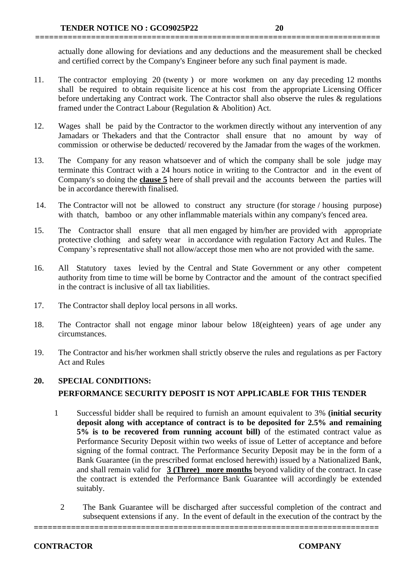actually done allowing for deviations and any deductions and the measurement shall be checked and certified correct by the Company's Engineer before any such final payment is made.

11. The contractor employing 20 (twenty ) or more workmen on any day preceding 12 months shall be required to obtain requisite licence at his cost from the appropriate Licensing Officer before undertaking any Contract work. The Contractor shall also observe the rules & regulations framed under the Contract Labour (Regulation & Abolition) Act.

**==========================================================================**

- 12. Wages shall be paid by the Contractor to the workmen directly without any intervention of any Jamadars or Thekaders and that the Contractor shall ensure that no amount by way of commission or otherwise be deducted/ recovered by the Jamadar from the wages of the workmen.
- 13. The Company for any reason whatsoever and of which the company shall be sole judge may terminate this Contract with a 24 hours notice in writing to the Contractor and in the event of Company's so doing the **clause 5** here of shall prevail and the accounts between the parties will be in accordance therewith finalised.
- 14. The Contractor will not be allowed to construct any structure (for storage / housing purpose) with thatch, bamboo or any other inflammable materials within any company's fenced area.
- 15. The Contractor shall ensure that all men engaged by him/her are provided with appropriate protective clothing and safety wear in accordance with regulation Factory Act and Rules. The Company's representative shall not allow/accept those men who are not provided with the same.
- 16. All Statutory taxes levied by the Central and State Government or any other competent authority from time to time will be borne by Contractor and the amount of the contract specified in the contract is inclusive of all tax liabilities.
- 17. The Contractor shall deploy local persons in all works.
- 18. The Contractor shall not engage minor labour below 18(eighteen) years of age under any circumstances.
- 19. The Contractor and his/her workmen shall strictly observe the rules and regulations as per Factory Act and Rules

# **20. SPECIAL CONDITIONS: PERFORMANCE SECURITY DEPOSIT IS NOT APPLICABLE FOR THIS TENDER**

- 1 Successful bidder shall be required to furnish an amount equivalent to 3% **(initial security deposit along with acceptance of contract is to be deposited for 2.5% and remaining 5% is to be recovered from running account bill)** of the estimated contract value as Performance Security Deposit within two weeks of issue of Letter of acceptance and before signing of the formal contract. The Performance Security Deposit may be in the form of a Bank Guarantee (in the prescribed format enclosed herewith) issued by a Nationalized Bank, and shall remain valid for **3 (Three) more months** beyond validity of the contract. In case the contract is extended the Performance Bank Guarantee will accordingly be extended suitably.
	- 2 The Bank Guarantee will be discharged after successful completion of the contract and subsequent extensions if any. In the event of default in the execution of the contract by the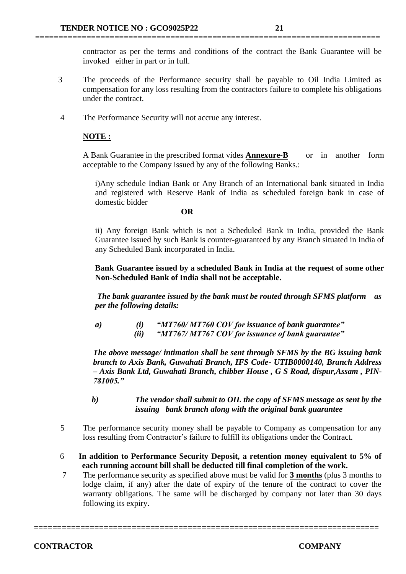contractor as per the terms and conditions of the contract the Bank Guarantee will be invoked either in part or in full.

3 The proceeds of the Performance security shall be payable to Oil India Limited as compensation for any loss resulting from the contractors failure to complete his obligations under the contract.

**==========================================================================**

4 The Performance Security will not accrue any interest.

#### **NOTE :**

A Bank Guarantee in the prescribed format vides **Annexure-B** or in another form acceptable to the Company issued by any of the following Banks.:

i)Any schedule Indian Bank or Any Branch of an International bank situated in India and registered with Reserve Bank of India as scheduled foreign bank in case of domestic bidder

#### **OR**

ii) Any foreign Bank which is not a Scheduled Bank in India, provided the Bank Guarantee issued by such Bank is counter-guaranteed by any Branch situated in India of any Scheduled Bank incorporated in India.

**Bank Guarantee issued by a scheduled Bank in India at the request of some other Non-Scheduled Bank of India shall not be acceptable.**

*The bank guarantee issued by the bank must be routed through SFMS platform as per the following details:*

*a) (i) "MT760/ MT760 COV for issuance of bank guarantee" (ii) "MT767/ MT767 COV for issuance of bank guarantee"*

*The above message/ intimation shall be sent through SFMS by the BG issuing bank branch to Axis Bank, Guwahati Branch, IFS Code- UTIB0000140, Branch Address – Axis Bank Ltd, Guwahati Branch, chibber House , G S Road, dispur,Assam , PIN-781005."*

*b) The vendor shall submit to OIL the copy of SFMS message as sent by the issuing bank branch along with the original bank guarantee*

- 5 The performance security money shall be payable to Company as compensation for any loss resulting from Contractor's failure to fulfill its obligations under the Contract.
- 6 **In addition to Performance Security Deposit, a retention money equivalent to 5% of each running account bill shall be deducted till final completion of the work.**
- 7 The performance security as specified above must be valid for **3 months** (plus 3 months to lodge claim, if any) after the date of expiry of the tenure of the contract to cover the warranty obligations. The same will be discharged by company not later than 30 days following its expiry.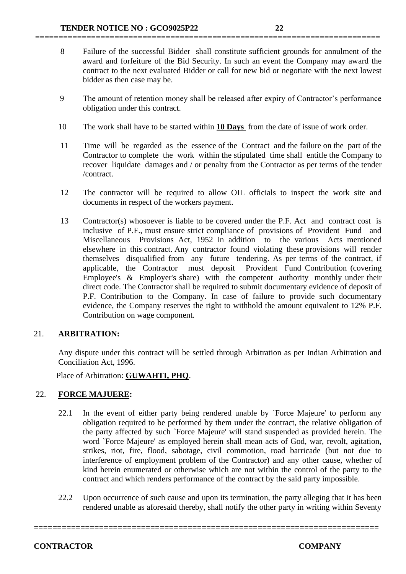8 Failure of the successful Bidder shall constitute sufficient grounds for annulment of the award and forfeiture of the Bid Security. In such an event the Company may award the contract to the next evaluated Bidder or call for new bid or negotiate with the next lowest bidder as then case may be.

**==========================================================================**

- 9 The amount of retention money shall be released after expiry of Contractor's performance obligation under this contract.
- 10 The work shall have to be started within **10 Days** from the date of issue of work order.
- 11 Time will be regarded as the essence of the Contract and the failure on the part of the Contractor to complete the work within the stipulated time shall entitle the Company to recover liquidate damages and / or penalty from the Contractor as per terms of the tender /contract.
- 12 The contractor will be required to allow OIL officials to inspect the work site and documents in respect of the workers payment.
- 13 Contractor(s) whosoever is liable to be covered under the P.F. Act and contract cost is inclusive of P.F., must ensure strict compliance of provisions of Provident Fund and Miscellaneous Provisions Act, 1952 in addition to the various Acts mentioned elsewhere in this contract. Any contractor found violating these provisions will render themselves disqualified from any future tendering. As per terms of the contract, if applicable, the Contractor must deposit Provident Fund Contribution (covering Employee's & Employer's share) with the competent authority monthly under their direct code. The Contractor shall be required to submit documentary evidence of deposit of P.F. Contribution to the Company. In case of failure to provide such documentary evidence, the Company reserves the right to withhold the amount equivalent to 12% P.F. Contribution on wage component.

# 21. **ARBITRATION:**

Any dispute under this contract will be settled through Arbitration as per Indian Arbitration and Conciliation Act, 1996.

Place of Arbitration: **GUWAHTI, PHQ**.

# 22. **FORCE MAJUERE:**

- 22.1 In the event of either party being rendered unable by `Force Majeure' to perform any obligation required to be performed by them under the contract, the relative obligation of the party affected by such `Force Majeure' will stand suspended as provided herein. The word `Force Majeure' as employed herein shall mean acts of God, war, revolt, agitation, strikes, riot, fire, flood, sabotage, civil commotion, road barricade (but not due to interference of employment problem of the Contractor) and any other cause, whether of kind herein enumerated or otherwise which are not within the control of the party to the contract and which renders performance of the contract by the said party impossible.
- 22.2 Upon occurrence of such cause and upon its termination, the party alleging that it has been rendered unable as aforesaid thereby, shall notify the other party in writing within Seventy

**==========================================================================**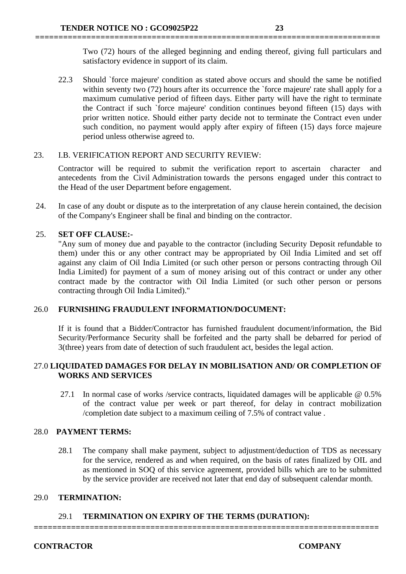Two (72) hours of the alleged beginning and ending thereof, giving full particulars and satisfactory evidence in support of its claim.

22.3 Should `force majeure' condition as stated above occurs and should the same be notified within seventy two (72) hours after its occurrence the 'force majeure' rate shall apply for a maximum cumulative period of fifteen days. Either party will have the right to terminate the Contract if such `force majeure' condition continues beyond fifteen (15) days with prior written notice. Should either party decide not to terminate the Contract even under such condition, no payment would apply after expiry of fifteen (15) days force majeure period unless otherwise agreed to.

**==========================================================================**

#### 23. I.B. VERIFICATION REPORT AND SECURITY REVIEW:

Contractor will be required to submit the verification report to ascertain character and antecedents from the Civil Administration towards the persons engaged under this contract to the Head of the user Department before engagement.

24. In case of any doubt or dispute as to the interpretation of any clause herein contained, the decision of the Company's Engineer shall be final and binding on the contractor.

# 25. **SET OFF CLAUSE:-**

"Any sum of money due and payable to the contractor (including Security Deposit refundable to them) under this or any other contract may be appropriated by Oil India Limited and set off against any claim of Oil India Limited (or such other person or persons contracting through Oil India Limited) for payment of a sum of money arising out of this contract or under any other contract made by the contractor with Oil India Limited (or such other person or persons contracting through Oil India Limited)."

# 26.0 **FURNISHING FRAUDULENT INFORMATION/DOCUMENT:**

If it is found that a Bidder/Contractor has furnished fraudulent document/information, the Bid Security/Performance Security shall be forfeited and the party shall be debarred for period of 3(three) years from date of detection of such fraudulent act, besides the legal action.

# 27.0 **LIQUIDATED DAMAGES FOR DELAY IN MOBILISATION AND/ OR COMPLETION OF WORKS AND SERVICES**

27.1 In normal case of works /service contracts, liquidated damages will be applicable @ 0.5% of the contract value per week or part thereof, for delay in contract mobilization /completion date subject to a maximum ceiling of 7.5% of contract value .

# 28.0 **PAYMENT TERMS:**

28.1 The company shall make payment, subject to adjustment/deduction of TDS as necessary for the service, rendered as and when required, on the basis of rates finalized by OIL and as mentioned in SOQ of this service agreement, provided bills which are to be submitted by the service provider are received not later that end day of subsequent calendar month.

# 29.0 **TERMINATION:**

# 29.1 **TERMINATION ON EXPIRY OF THE TERMS (DURATION):**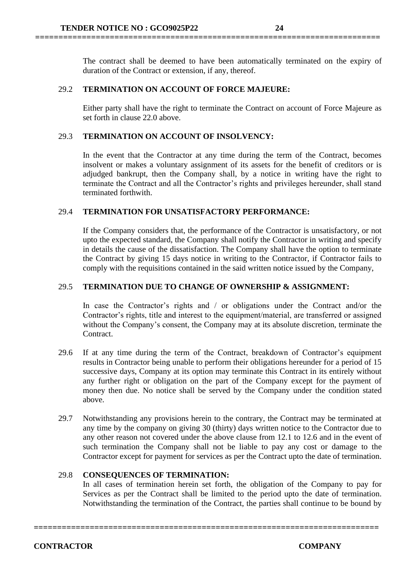The contract shall be deemed to have been automatically terminated on the expiry of duration of the Contract or extension, if any, thereof.

**==========================================================================**

#### 29.2 **TERMINATION ON ACCOUNT OF FORCE MAJEURE:**

Either party shall have the right to terminate the Contract on account of Force Majeure as set forth in clause 22.0 above.

#### 29.3 **TERMINATION ON ACCOUNT OF INSOLVENCY:**

In the event that the Contractor at any time during the term of the Contract, becomes insolvent or makes a voluntary assignment of its assets for the benefit of creditors or is adjudged bankrupt, then the Company shall, by a notice in writing have the right to terminate the Contract and all the Contractor's rights and privileges hereunder, shall stand terminated forthwith.

#### 29.4 **TERMINATION FOR UNSATISFACTORY PERFORMANCE:**

If the Company considers that, the performance of the Contractor is unsatisfactory, or not upto the expected standard, the Company shall notify the Contractor in writing and specify in details the cause of the dissatisfaction. The Company shall have the option to terminate the Contract by giving 15 days notice in writing to the Contractor, if Contractor fails to comply with the requisitions contained in the said written notice issued by the Company,

#### 29.5 **TERMINATION DUE TO CHANGE OF OWNERSHIP & ASSIGNMENT:**

In case the Contractor's rights and / or obligations under the Contract and/or the Contractor's rights, title and interest to the equipment/material, are transferred or assigned without the Company's consent, the Company may at its absolute discretion, terminate the Contract.

- 29.6 If at any time during the term of the Contract, breakdown of Contractor's equipment results in Contractor being unable to perform their obligations hereunder for a period of 15 successive days, Company at its option may terminate this Contract in its entirely without any further right or obligation on the part of the Company except for the payment of money then due. No notice shall be served by the Company under the condition stated above.
- 29.7 Notwithstanding any provisions herein to the contrary, the Contract may be terminated at any time by the company on giving 30 (thirty) days written notice to the Contractor due to any other reason not covered under the above clause from 12.1 to 12.6 and in the event of such termination the Company shall not be liable to pay any cost or damage to the Contractor except for payment for services as per the Contract upto the date of termination.

#### 29.8 **CONSEQUENCES OF TERMINATION:**

In all cases of termination herein set forth, the obligation of the Company to pay for Services as per the Contract shall be limited to the period upto the date of termination. Notwithstanding the termination of the Contract, the parties shall continue to be bound by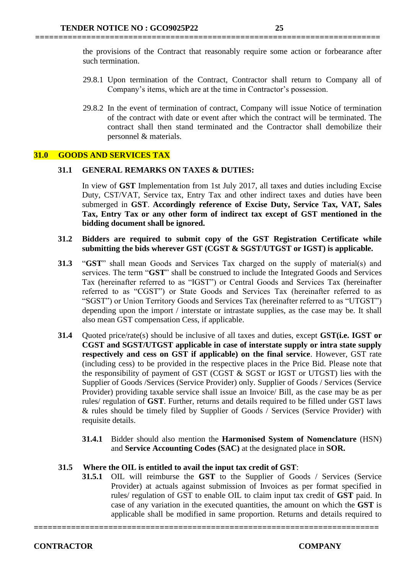the provisions of the Contract that reasonably require some action or forbearance after such termination.

**==========================================================================**

- 29.8.1 Upon termination of the Contract, Contractor shall return to Company all of Company's items, which are at the time in Contractor's possession.
- 29.8.2 In the event of termination of contract, Company will issue Notice of termination of the contract with date or event after which the contract will be terminated. The contract shall then stand terminated and the Contractor shall demobilize their personnel & materials.

#### **31.0 GOODS AND SERVICES TAX**

#### **31.1 GENERAL REMARKS ON TAXES & DUTIES:**

In view of **GST** Implementation from 1st July 2017, all taxes and duties including Excise Duty, CST/VAT, Service tax, Entry Tax and other indirect taxes and duties have been submerged in **GST**. **Accordingly reference of Excise Duty, Service Tax, VAT, Sales Tax, Entry Tax or any other form of indirect tax except of GST mentioned in the bidding document shall be ignored.** 

#### **31.2 Bidders are required to submit copy of the GST Registration Certificate while submitting the bids wherever GST (CGST & SGST/UTGST or IGST) is applicable.**

- **31.3** "**GST**" shall mean Goods and Services Tax charged on the supply of material(s) and services. The term "**GST**" shall be construed to include the Integrated Goods and Services Tax (hereinafter referred to as "IGST") or Central Goods and Services Tax (hereinafter referred to as "CGST") or State Goods and Services Tax (hereinafter referred to as "SGST") or Union Territory Goods and Services Tax (hereinafter referred to as "UTGST") depending upon the import / interstate or intrastate supplies, as the case may be. It shall also mean GST compensation Cess, if applicable.
- **31.4** Quoted price/rate(s) should be inclusive of all taxes and duties, except **GST(i.e. IGST or CGST and SGST/UTGST applicable in case of interstate supply or intra state supply respectively and cess on GST if applicable) on the final service**. However, GST rate (including cess) to be provided in the respective places in the Price Bid. Please note that the responsibility of payment of GST (CGST & SGST or IGST or UTGST) lies with the Supplier of Goods /Services (Service Provider) only. Supplier of Goods / Services (Service Provider) providing taxable service shall issue an Invoice/ Bill, as the case may be as per rules/ regulation of **GST**. Further, returns and details required to be filled under GST laws & rules should be timely filed by Supplier of Goods / Services (Service Provider) with requisite details.
	- **31.4.1** Bidder should also mention the **Harmonised System of Nomenclature** (HSN) and **Service Accounting Codes (SAC)** at the designated place in **SOR.**

# **31.5 Where the OIL is entitled to avail the input tax credit of GST**:

**31.5.1** OIL will reimburse the **GST** to the Supplier of Goods / Services (Service Provider) at actuals against submission of Invoices as per format specified in rules/ regulation of GST to enable OIL to claim input tax credit of **GST** paid. In case of any variation in the executed quantities, the amount on which the **GST** is applicable shall be modified in same proportion. Returns and details required to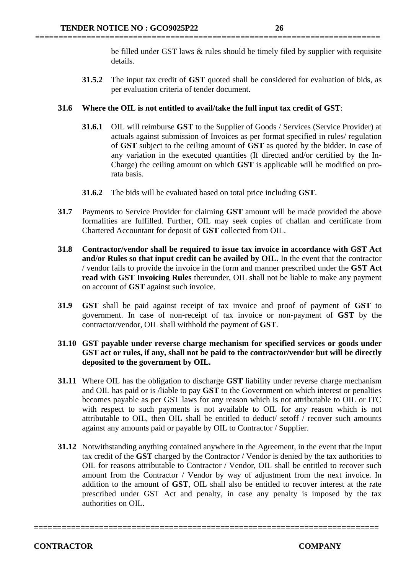be filled under GST laws & rules should be timely filed by supplier with requisite details.

**31.5.2** The input tax credit of **GST** quoted shall be considered for evaluation of bids, as per evaluation criteria of tender document.

#### **31.6 Where the OIL is not entitled to avail/take the full input tax credit of GST**:

**==========================================================================**

- **31.6.1** OIL will reimburse **GST** to the Supplier of Goods / Services (Service Provider) at actuals against submission of Invoices as per format specified in rules/ regulation of **GST** subject to the ceiling amount of **GST** as quoted by the bidder. In case of any variation in the executed quantities (If directed and/or certified by the In-Charge) the ceiling amount on which **GST** is applicable will be modified on prorata basis.
- **31.6.2** The bids will be evaluated based on total price including **GST**.
- **31.7** Payments to Service Provider for claiming **GST** amount will be made provided the above formalities are fulfilled. Further, OIL may seek copies of challan and certificate from Chartered Accountant for deposit of **GST** collected from OIL.
- **31.8 Contractor/vendor shall be required to issue tax invoice in accordance with GST Act and/or Rules so that input credit can be availed by OIL.** In the event that the contractor / vendor fails to provide the invoice in the form and manner prescribed under the **GST Act read with GST Invoicing Rules** thereunder, OIL shall not be liable to make any payment on account of **GST** against such invoice.
- **31.9 GST** shall be paid against receipt of tax invoice and proof of payment of **GST** to government. In case of non-receipt of tax invoice or non-payment of **GST** by the contractor/vendor, OIL shall withhold the payment of **GST**.

# **31.10 GST payable under reverse charge mechanism for specified services or goods under GST act or rules, if any, shall not be paid to the contractor/vendor but will be directly deposited to the government by OIL.**

- **31.11** Where OIL has the obligation to discharge **GST** liability under reverse charge mechanism and OIL has paid or is /liable to pay **GST** to the Government on which interest or penalties becomes payable as per GST laws for any reason which is not attributable to OIL or ITC with respect to such payments is not available to OIL for any reason which is not attributable to OIL, then OIL shall be entitled to deduct/ setoff / recover such amounts against any amounts paid or payable by OIL to Contractor / Supplier.
- **31.12** Notwithstanding anything contained anywhere in the Agreement, in the event that the input tax credit of the **GST** charged by the Contractor / Vendor is denied by the tax authorities to OIL for reasons attributable to Contractor / Vendor, OIL shall be entitled to recover such amount from the Contractor / Vendor by way of adjustment from the next invoice. In addition to the amount of **GST**, OIL shall also be entitled to recover interest at the rate prescribed under GST Act and penalty, in case any penalty is imposed by the tax authorities on OIL.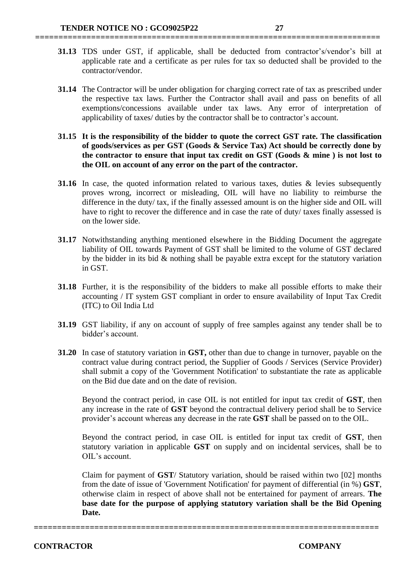**31.13** TDS under GST, if applicable, shall be deducted from contractor's/vendor's bill at applicable rate and a certificate as per rules for tax so deducted shall be provided to the contractor/vendor.

**==========================================================================**

- **31.14** The Contractor will be under obligation for charging correct rate of tax as prescribed under the respective tax laws. Further the Contractor shall avail and pass on benefits of all exemptions/concessions available under tax laws. Any error of interpretation of applicability of taxes/ duties by the contractor shall be to contractor's account.
- **31.15 It is the responsibility of the bidder to quote the correct GST rate. The classification of goods/services as per GST (Goods & Service Tax) Act should be correctly done by the contractor to ensure that input tax credit on GST (Goods & mine ) is not lost to the OIL on account of any error on the part of the contractor.**
- **31.16** In case, the quoted information related to various taxes, duties & levies subsequently proves wrong, incorrect or misleading, OIL will have no liability to reimburse the difference in the duty/ tax, if the finally assessed amount is on the higher side and OIL will have to right to recover the difference and in case the rate of duty/ taxes finally assessed is on the lower side.
- **31.17** Notwithstanding anything mentioned elsewhere in the Bidding Document the aggregate liability of OIL towards Payment of GST shall be limited to the volume of GST declared by the bidder in its bid  $\&$  nothing shall be payable extra except for the statutory variation in GST.
- **31.18** Further, it is the responsibility of the bidders to make all possible efforts to make their accounting / IT system GST compliant in order to ensure availability of Input Tax Credit (ITC) to Oil India Ltd
- **31.19** GST liability, if any on account of supply of free samples against any tender shall be to bidder's account.
- **31.20** In case of statutory variation in **GST,** other than due to change in turnover, payable on the contract value during contract period, the Supplier of Goods / Services (Service Provider) shall submit a copy of the 'Government Notification' to substantiate the rate as applicable on the Bid due date and on the date of revision.

Beyond the contract period, in case OIL is not entitled for input tax credit of **GST**, then any increase in the rate of **GST** beyond the contractual delivery period shall be to Service provider's account whereas any decrease in the rate **GST** shall be passed on to the OIL.

Beyond the contract period, in case OIL is entitled for input tax credit of **GST**, then statutory variation in applicable **GST** on supply and on incidental services, shall be to OIL's account.

Claim for payment of **GST**/ Statutory variation, should be raised within two [02] months from the date of issue of 'Government Notification' for payment of differential (in %) **GST**, otherwise claim in respect of above shall not be entertained for payment of arrears. **The base date for the purpose of applying statutory variation shall be the Bid Opening Date.**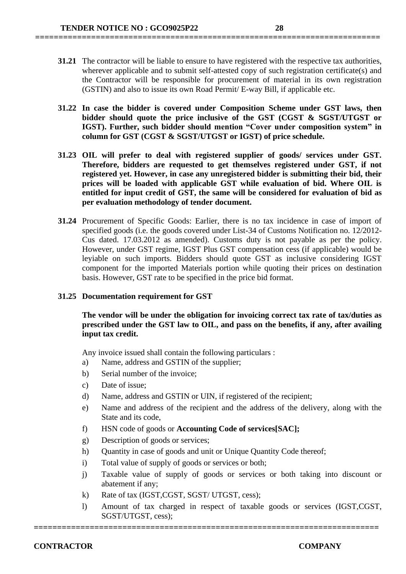**31.21** The contractor will be liable to ensure to have registered with the respective tax authorities, wherever applicable and to submit self-attested copy of such registration certificate(s) and the Contractor will be responsible for procurement of material in its own registration (GSTIN) and also to issue its own Road Permit/ E-way Bill, if applicable etc.

**==========================================================================**

- **31.22 In case the bidder is covered under Composition Scheme under GST laws, then bidder should quote the price inclusive of the GST (CGST & SGST/UTGST or IGST). Further, such bidder should mention "Cover under composition system" in column for GST (CGST & SGST/UTGST or IGST) of price schedule.**
- **31.23 OIL will prefer to deal with registered supplier of goods/ services under GST. Therefore, bidders are requested to get themselves registered under GST, if not registered yet. However, in case any unregistered bidder is submitting their bid, their prices will be loaded with applicable GST while evaluation of bid. Where OIL is entitled for input credit of GST, the same will be considered for evaluation of bid as per evaluation methodology of tender document.**
- **31.24** Procurement of Specific Goods: Earlier, there is no tax incidence in case of import of specified goods (i.e. the goods covered under List-34 of Customs Notification no. 12/2012- Cus dated. 17.03.2012 as amended). Customs duty is not payable as per the policy. However, under GST regime, IGST Plus GST compensation cess (if applicable) would be leyiable on such imports. Bidders should quote GST as inclusive considering IGST component for the imported Materials portion while quoting their prices on destination basis. However, GST rate to be specified in the price bid format.

#### **31.25 Documentation requirement for GST**

**The vendor will be under the obligation for invoicing correct tax rate of tax/duties as prescribed under the GST law to OIL, and pass on the benefits, if any, after availing input tax credit.** 

Any invoice issued shall contain the following particulars :

- a) Name, address and GSTIN of the supplier;
- b) Serial number of the invoice;
- c) Date of issue;
- d) Name, address and GSTIN or UIN, if registered of the recipient;
- e) Name and address of the recipient and the address of the delivery, along with the State and its code,
- f) HSN code of goods or **Accounting Code of services[SAC];**
- g) Description of goods or services;
- h) Ouantity in case of goods and unit or Unique Quantity Code thereof:
- i) Total value of supply of goods or services or both;
- j) Taxable value of supply of goods or services or both taking into discount or abatement if any;
- k) Rate of tax (IGST,CGST, SGST/ UTGST, cess);
- l) Amount of tax charged in respect of taxable goods or services (IGST,CGST, SGST/UTGST, cess);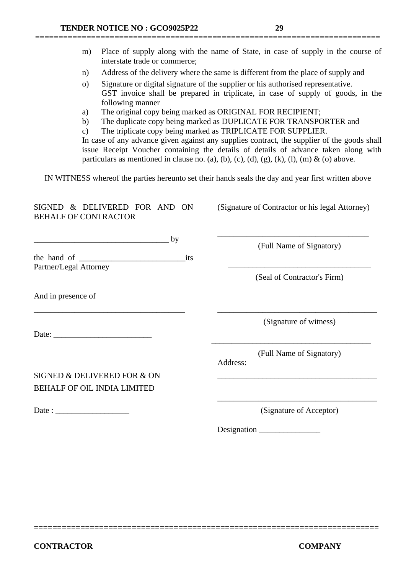|                                                                                                                                                                                                                                                                                                                                                                                                                                                                                                                | m) | interstate trade or commerce;                                     |    |     |          | Place of supply along with the name of State, in case of supply in the course of                   |  |  |  |  |  |
|----------------------------------------------------------------------------------------------------------------------------------------------------------------------------------------------------------------------------------------------------------------------------------------------------------------------------------------------------------------------------------------------------------------------------------------------------------------------------------------------------------------|----|-------------------------------------------------------------------|----|-----|----------|----------------------------------------------------------------------------------------------------|--|--|--|--|--|
| Address of the delivery where the same is different from the place of supply and<br>n)<br>Signature or digital signature of the supplier or his authorised representative.<br>$\Omega$<br>GST invoice shall be prepared in triplicate, in case of supply of goods, in the<br>following manner                                                                                                                                                                                                                  |    |                                                                   |    |     |          |                                                                                                    |  |  |  |  |  |
| The original copy being marked as ORIGINAL FOR RECIPIENT;<br>a)<br>The duplicate copy being marked as DUPLICATE FOR TRANSPORTER and<br>b)<br>The triplicate copy being marked as TRIPLICATE FOR SUPPLIER.<br>$\mathbf{c})$<br>In case of any advance given against any supplies contract, the supplier of the goods shall<br>issue Receipt Voucher containing the details of details of advance taken along with<br>particulars as mentioned in clause no. (a), (b), (c), (d), (g), (k), (l), (m) & (o) above. |    |                                                                   |    |     |          |                                                                                                    |  |  |  |  |  |
|                                                                                                                                                                                                                                                                                                                                                                                                                                                                                                                |    |                                                                   |    |     |          | IN WITNESS whereof the parties hereunto set their hands seals the day and year first written above |  |  |  |  |  |
| <b>BEHALF OF CONTRACTOR</b>                                                                                                                                                                                                                                                                                                                                                                                                                                                                                    |    | SIGNED & DELIVERED FOR AND ON                                     |    |     |          | (Signature of Contractor or his legal Attorney)                                                    |  |  |  |  |  |
|                                                                                                                                                                                                                                                                                                                                                                                                                                                                                                                |    |                                                                   | by |     |          | (Full Name of Signatory)                                                                           |  |  |  |  |  |
| Partner/Legal Attorney                                                                                                                                                                                                                                                                                                                                                                                                                                                                                         |    |                                                                   |    | its |          |                                                                                                    |  |  |  |  |  |
|                                                                                                                                                                                                                                                                                                                                                                                                                                                                                                                |    |                                                                   |    |     |          | (Seal of Contractor's Firm)                                                                        |  |  |  |  |  |
| And in presence of                                                                                                                                                                                                                                                                                                                                                                                                                                                                                             |    |                                                                   |    |     |          |                                                                                                    |  |  |  |  |  |
| Date:                                                                                                                                                                                                                                                                                                                                                                                                                                                                                                          |    |                                                                   |    |     |          | (Signature of witness)                                                                             |  |  |  |  |  |
|                                                                                                                                                                                                                                                                                                                                                                                                                                                                                                                |    |                                                                   |    |     | Address: | (Full Name of Signatory)                                                                           |  |  |  |  |  |
|                                                                                                                                                                                                                                                                                                                                                                                                                                                                                                                |    | SIGNED & DELIVERED FOR & ON<br><b>BEHALF OF OIL INDIA LIMITED</b> |    |     |          |                                                                                                    |  |  |  |  |  |
| Date: $\frac{1}{\sqrt{1-\frac{1}{2}} \cdot \frac{1}{2}}$                                                                                                                                                                                                                                                                                                                                                                                                                                                       |    |                                                                   |    |     |          | (Signature of Acceptor)                                                                            |  |  |  |  |  |
|                                                                                                                                                                                                                                                                                                                                                                                                                                                                                                                |    |                                                                   |    |     |          | Designation                                                                                        |  |  |  |  |  |
|                                                                                                                                                                                                                                                                                                                                                                                                                                                                                                                |    |                                                                   |    |     |          |                                                                                                    |  |  |  |  |  |

**==========================================================================**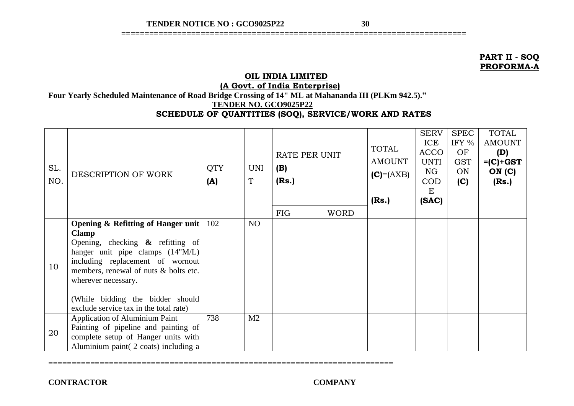**==========================================================================**

#### **PART II - SOQ PROFORMA-A**

# **OIL INDIA LIMITED**

**(A Govt. of India Enterprise)**

**Four Yearly Scheduled Maintenance of Road Bridge Crossing of 14" ML at Mahananda III (PLKm 942.5)."**

 **TENDER NO. GCO9025P22**

# **SCHEDULE OF QUANTITIES (SOQ), SERVICE/WORK AND RATES**

| SL.<br>NO. | DESCRIPTION OF WORK                                                                                                                                                                                                                                                                                                        | <b>QTY</b><br>(A) | UNI<br>$\mathbf T$ | RATE PER UNIT<br>(B)<br>(Rs.) |             | <b>TOTAL</b><br><b>AMOUNT</b><br>$(C) = (AXB)$<br>(Rs.) | <b>SERV</b><br>ICE<br><b>ACCO</b><br>UNTI<br>NG<br><b>COD</b><br>E<br>(SAC) | <b>SPEC</b><br>IFY %<br>OF<br><b>GST</b><br>ON<br>(C) | <b>TOTAL</b><br><b>AMOUNT</b><br>(D)<br>$=(C)+GST$<br>ON(C)<br>(Rs.) |
|------------|----------------------------------------------------------------------------------------------------------------------------------------------------------------------------------------------------------------------------------------------------------------------------------------------------------------------------|-------------------|--------------------|-------------------------------|-------------|---------------------------------------------------------|-----------------------------------------------------------------------------|-------------------------------------------------------|----------------------------------------------------------------------|
|            |                                                                                                                                                                                                                                                                                                                            |                   |                    | <b>FIG</b>                    | <b>WORD</b> |                                                         |                                                                             |                                                       |                                                                      |
| 10         | <b>Opening &amp; Refitting of Hanger unit</b><br><b>Clamp</b><br>Opening, checking $\&$ refitting of<br>hanger unit pipe clamps (14"M/L)<br>including replacement of wornout<br>members, renewal of nuts & bolts etc.<br>wherever necessary.<br>(While bidding the bidder should<br>exclude service tax in the total rate) | 102               | NO                 |                               |             |                                                         |                                                                             |                                                       |                                                                      |
| 20         | <b>Application of Aluminium Paint</b><br>Painting of pipeline and painting of<br>complete setup of Hanger units with<br>Aluminium paint (2 coats) including a                                                                                                                                                              | 738               | M <sub>2</sub>     |                               |             |                                                         |                                                                             |                                                       |                                                                      |

**==========================================================================**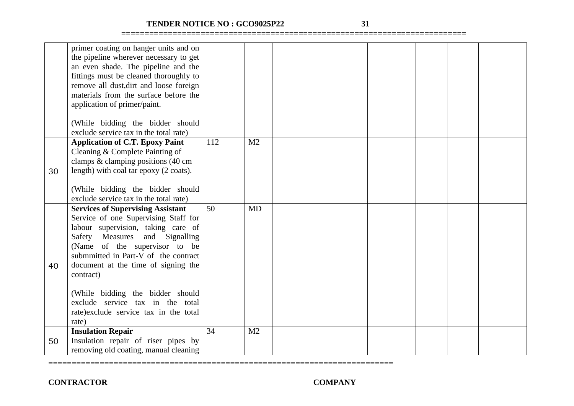# **TENDER NOTICE NO : GCO9025P22 31**

**==========================================================================**

**==========================================================================**

|    | primer coating on hanger units and on    |     |                |  |  |  |
|----|------------------------------------------|-----|----------------|--|--|--|
|    | the pipeline wherever necessary to get   |     |                |  |  |  |
|    | an even shade. The pipeline and the      |     |                |  |  |  |
|    | fittings must be cleaned thoroughly to   |     |                |  |  |  |
|    | remove all dust, dirt and loose foreign  |     |                |  |  |  |
|    | materials from the surface before the    |     |                |  |  |  |
|    | application of primer/paint.             |     |                |  |  |  |
|    |                                          |     |                |  |  |  |
|    | (While bidding the bidder should         |     |                |  |  |  |
|    | exclude service tax in the total rate)   |     |                |  |  |  |
|    | <b>Application of C.T. Epoxy Paint</b>   | 112 | M <sub>2</sub> |  |  |  |
|    | Cleaning & Complete Painting of          |     |                |  |  |  |
|    | clamps & clamping positions (40 cm       |     |                |  |  |  |
| 30 | length) with coal tar epoxy (2 coats).   |     |                |  |  |  |
|    |                                          |     |                |  |  |  |
|    | (While bidding the bidder should         |     |                |  |  |  |
|    | exclude service tax in the total rate)   |     |                |  |  |  |
|    | <b>Services of Supervising Assistant</b> | 50  | <b>MD</b>      |  |  |  |
|    | Service of one Supervising Staff for     |     |                |  |  |  |
|    | labour supervision, taking care of       |     |                |  |  |  |
|    | Safety Measures<br>and Signalling        |     |                |  |  |  |
|    | (Name of the supervisor to be            |     |                |  |  |  |
|    | submmitted in Part-V of the contract     |     |                |  |  |  |
| 40 | document at the time of signing the      |     |                |  |  |  |
|    | contract)                                |     |                |  |  |  |
|    |                                          |     |                |  |  |  |
|    | (While bidding the bidder should         |     |                |  |  |  |
|    | exclude service tax in the total         |     |                |  |  |  |
|    | rate) exclude service tax in the total   |     |                |  |  |  |
|    | rate)                                    |     |                |  |  |  |
|    | <b>Insulation Repair</b>                 | 34  | M <sub>2</sub> |  |  |  |
| 50 | Insulation repair of riser pipes by      |     |                |  |  |  |
|    | removing old coating, manual cleaning    |     |                |  |  |  |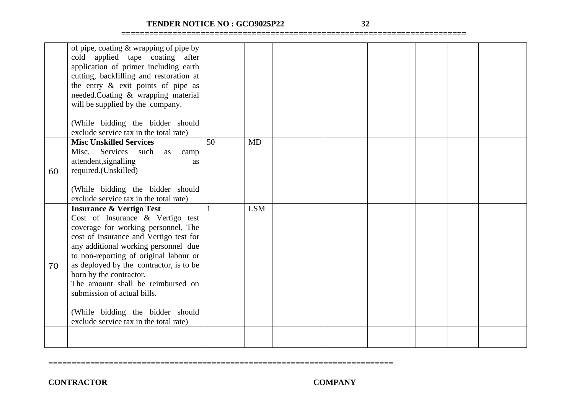# **TENDER NOTICE NO : GCO9025P22 32**

**==========================================================================**

|    | of pipe, coating $&$ wrapping of pipe by |    |            |  |  |  |
|----|------------------------------------------|----|------------|--|--|--|
|    | cold applied tape coating<br>after       |    |            |  |  |  |
|    | application of primer including earth    |    |            |  |  |  |
|    | cutting, backfilling and restoration at  |    |            |  |  |  |
|    | the entry $\&$ exit points of pipe as    |    |            |  |  |  |
|    | needed.Coating & wrapping material       |    |            |  |  |  |
|    | will be supplied by the company.         |    |            |  |  |  |
|    |                                          |    |            |  |  |  |
|    | (While bidding the bidder should         |    |            |  |  |  |
|    | exclude service tax in the total rate)   |    |            |  |  |  |
|    | <b>Misc Unskilled Services</b>           | 50 | <b>MD</b>  |  |  |  |
|    |                                          |    |            |  |  |  |
|    | Services such<br>Misc.<br>as<br>camp     |    |            |  |  |  |
|    | attendent, signalling<br>as              |    |            |  |  |  |
| 60 | required.(Unskilled)                     |    |            |  |  |  |
|    |                                          |    |            |  |  |  |
|    | (While bidding the bidder should         |    |            |  |  |  |
|    | exclude service tax in the total rate)   |    |            |  |  |  |
|    | <b>Insurance &amp; Vertigo Test</b>      |    | <b>LSM</b> |  |  |  |
|    | Cost of Insurance & Vertigo test         |    |            |  |  |  |
|    | coverage for working personnel. The      |    |            |  |  |  |
|    | cost of Insurance and Vertigo test for   |    |            |  |  |  |
|    | any additional working personnel due     |    |            |  |  |  |
|    | to non-reporting of original labour or   |    |            |  |  |  |
| 70 | as deployed by the contractor, is to be  |    |            |  |  |  |
|    | born by the contractor.                  |    |            |  |  |  |
|    | The amount shall be reimbursed on        |    |            |  |  |  |
|    | submission of actual bills.              |    |            |  |  |  |
|    |                                          |    |            |  |  |  |
|    | (While bidding the bidder should         |    |            |  |  |  |
|    | exclude service tax in the total rate)   |    |            |  |  |  |
|    |                                          |    |            |  |  |  |
|    |                                          |    |            |  |  |  |
|    |                                          |    |            |  |  |  |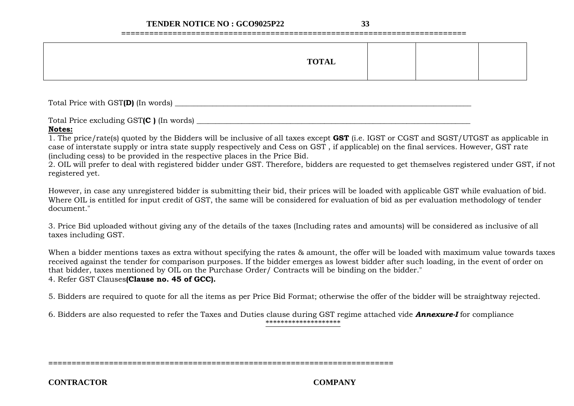**==========================================================================**

| <b>TOTAL</b> |  |
|--------------|--|
|--------------|--|

Total Price with GST**(D)** (In words) \_\_\_\_\_\_\_\_\_\_\_\_\_\_\_\_\_\_\_\_\_\_\_\_\_\_\_\_\_\_\_\_\_\_\_\_\_\_\_\_\_\_\_\_\_\_\_\_\_\_\_\_\_\_\_\_\_\_\_\_\_\_\_\_\_\_\_\_\_\_\_\_\_\_\_\_\_\_\_

Total Price excluding GST(C ) (In words)

#### **Notes:**

1. The price/rate(s) quoted by the Bidders will be inclusive of all taxes except **GST** (i.e. IGST or CGST and SGST/UTGST as applicable in case of interstate supply or intra state supply respectively and Cess on GST , if applicable) on the final services. However, GST rate (including cess) to be provided in the respective places in the Price Bid.

2. OIL will prefer to deal with registered bidder under GST. Therefore, bidders are requested to get themselves registered under GST, if not registered yet.

However, in case any unregistered bidder is submitting their bid, their prices will be loaded with applicable GST while evaluation of bid. Where OIL is entitled for input credit of GST, the same will be considered for evaluation of bid as per evaluation methodology of tender document."

3. Price Bid uploaded without giving any of the details of the taxes (Including rates and amounts) will be considered as inclusive of all taxes including GST.

When a bidder mentions taxes as extra without specifying the rates & amount, the offer will be loaded with maximum value towards taxes received against the tender for comparison purposes. If the bidder emerges as lowest bidder after such loading, in the event of order on that bidder, taxes mentioned by OIL on the Purchase Order/ Contracts will be binding on the bidder."

4. Refer GST Clauses**(Clause no. 45 of GCC).**

5. Bidders are required to quote for all the items as per Price Bid Format; otherwise the offer of the bidder will be straightway rejected.

6. Bidders are also requested to refer the Taxes and Duties clause during GST regime attached vide *Annexure-I* for compliance \*\*\*\*\*\*\*\*\*\*\*\*\*\*\*\*\*\*\*\*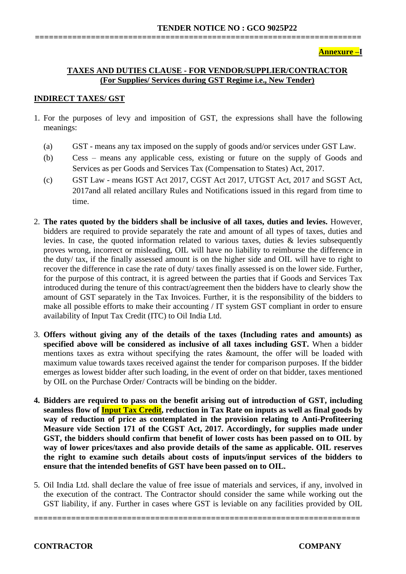**Annexure –I**

# **TAXES AND DUTIES CLAUSE - FOR VENDOR/SUPPLIER/CONTRACTOR (For Supplies/ Services during GST Regime i.e., New Tender)**

**======================================================================**

#### **INDIRECT TAXES/ GST**

- 1. For the purposes of levy and imposition of GST, the expressions shall have the following meanings:
	- (a) GST means any tax imposed on the supply of goods and/or services under GST Law.
	- (b) Cess means any applicable cess, existing or future on the supply of Goods and Services as per Goods and Services Tax (Compensation to States) Act, 2017.
	- (c) GST Law means IGST Act 2017, CGST Act 2017, UTGST Act, 2017 and SGST Act, 2017and all related ancillary Rules and Notifications issued in this regard from time to time.
- 2. **The rates quoted by the bidders shall be inclusive of all taxes, duties and levies.** However, bidders are required to provide separately the rate and amount of all types of taxes, duties and levies. In case, the quoted information related to various taxes, duties & levies subsequently proves wrong, incorrect or misleading, OIL will have no liability to reimburse the difference in the duty/ tax, if the finally assessed amount is on the higher side and OIL will have to right to recover the difference in case the rate of duty/ taxes finally assessed is on the lower side. Further, for the purpose of this contract, it is agreed between the parties that if Goods and Services Tax introduced during the tenure of this contract/agreement then the bidders have to clearly show the amount of GST separately in the Tax Invoices. Further, it is the responsibility of the bidders to make all possible efforts to make their accounting / IT system GST compliant in order to ensure availability of Input Tax Credit (ITC) to Oil India Ltd.
- 3. **Offers without giving any of the details of the taxes (Including rates and amounts) as specified above will be considered as inclusive of all taxes including GST.** When a bidder mentions taxes as extra without specifying the rates &amount, the offer will be loaded with maximum value towards taxes received against the tender for comparison purposes. If the bidder emerges as lowest bidder after such loading, in the event of order on that bidder, taxes mentioned by OIL on the Purchase Order/ Contracts will be binding on the bidder.
- **4. Bidders are required to pass on the benefit arising out of introduction of GST, including seamless flow of Input Tax Credit, reduction in Tax Rate on inputs as well as final goods by way of reduction of price as contemplated in the provision relating to Anti-Profiteering Measure vide Section 171 of the CGST Act, 2017. Accordingly, for supplies made under GST, the bidders should confirm that benefit of lower costs has been passed on to OIL by way of lower prices/taxes and also provide details of the same as applicable. OIL reserves the right to examine such details about costs of inputs/input services of the bidders to ensure that the intended benefits of GST have been passed on to OIL.**
- 5. Oil India Ltd. shall declare the value of free issue of materials and services, if any, involved in the execution of the contract. The Contractor should consider the same while working out the GST liability, if any. Further in cases where GST is leviable on any facilities provided by OIL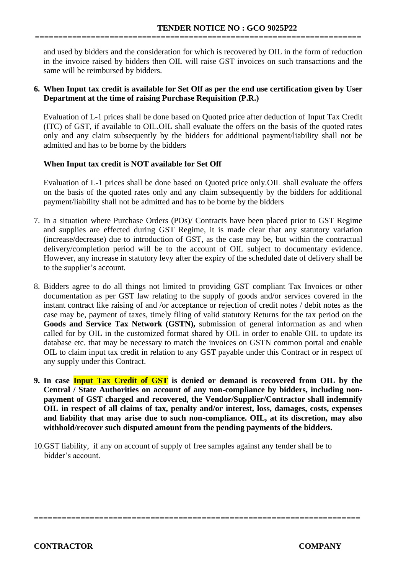and used by bidders and the consideration for which is recovered by OIL in the form of reduction in the invoice raised by bidders then OIL will raise GST invoices on such transactions and the same will be reimbursed by bidders.

**======================================================================**

#### **6. When Input tax credit is available for Set Off as per the end use certification given by User Department at the time of raising Purchase Requisition (P.R.)**

Evaluation of L-1 prices shall be done based on Quoted price after deduction of Input Tax Credit (ITC) of GST, if available to OIL.OIL shall evaluate the offers on the basis of the quoted rates only and any claim subsequently by the bidders for additional payment/liability shall not be admitted and has to be borne by the bidders

# **When Input tax credit is NOT available for Set Off**

Evaluation of L-1 prices shall be done based on Quoted price only.OIL shall evaluate the offers on the basis of the quoted rates only and any claim subsequently by the bidders for additional payment/liability shall not be admitted and has to be borne by the bidders

- 7. In a situation where Purchase Orders (POs)/ Contracts have been placed prior to GST Regime and supplies are effected during GST Regime, it is made clear that any statutory variation (increase/decrease) due to introduction of GST, as the case may be, but within the contractual delivery/completion period will be to the account of OIL subject to documentary evidence. However, any increase in statutory levy after the expiry of the scheduled date of delivery shall be to the supplier's account.
- 8. Bidders agree to do all things not limited to providing GST compliant Tax Invoices or other documentation as per GST law relating to the supply of goods and/or services covered in the instant contract like raising of and /or acceptance or rejection of credit notes / debit notes as the case may be, payment of taxes, timely filing of valid statutory Returns for the tax period on the **Goods and Service Tax Network (GSTN),** submission of general information as and when called for by OIL in the customized format shared by OIL in order to enable OIL to update its database etc. that may be necessary to match the invoices on GSTN common portal and enable OIL to claim input tax credit in relation to any GST payable under this Contract or in respect of any supply under this Contract.
- **9. In case Input Tax Credit of GST is denied or demand is recovered from OIL by the Central / State Authorities on account of any non-compliance by bidders, including nonpayment of GST charged and recovered, the Vendor/Supplier/Contractor shall indemnify OIL in respect of all claims of tax, penalty and/or interest, loss, damages, costs, expenses and liability that may arise due to such non-compliance. OIL, at its discretion, may also withhold/recover such disputed amount from the pending payments of the bidders.**

**======================================================================** 

10.GST liability, if any on account of supply of free samples against any tender shall be to bidder's account.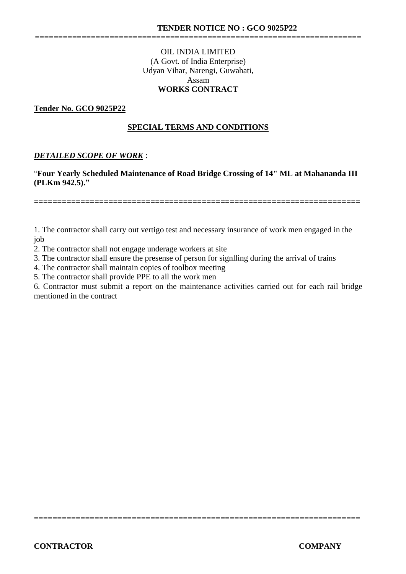#### OIL INDIA LIMITED (A Govt. of India Enterprise) Udyan Vihar, Narengi, Guwahati, Assam **WORKS CONTRACT**

**======================================================================**

#### **Tender No. GCO 9025P22**

#### **SPECIAL TERMS AND CONDITIONS**

#### *DETAILED SCOPE OF WORK* :

"**Four Yearly Scheduled Maintenance of Road Bridge Crossing of 14" ML at Mahananda III (PLKm 942.5)."**

1. The contractor shall carry out vertigo test and necessary insurance of work men engaged in the job

2. The contractor shall not engage underage workers at site

3. The contractor shall ensure the presense of person for signlling during the arrival of trains

4. The contractor shall maintain copies of toolbox meeting

5. The contractor shall provide PPE to all the work men

6. Contractor must submit a report on the maintenance activities carried out for each rail bridge mentioned in the contract

**======================================================================**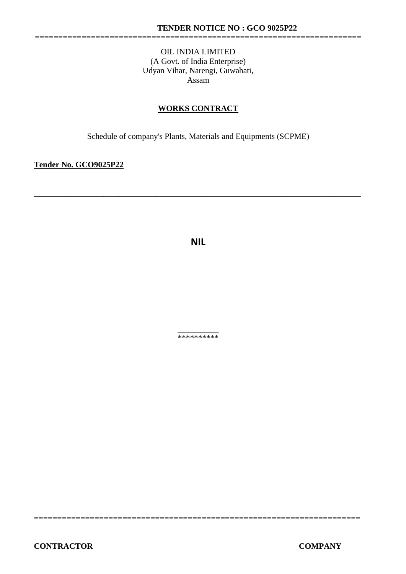**======================================================================**

#### OIL INDIA LIMITED (A Govt. of India Enterprise) Udyan Vihar, Narengi, Guwahati, Assam

# **WORKS CONTRACT**

Schedule of company's Plants, Materials and Equipments (SCPME)

**Tender No. GCO9025P22** 

**NIL**

\_\_\_\_\_\_\_\_\_\_\_\_\_\_\_\_\_\_\_\_\_\_\_\_\_\_\_\_\_\_\_\_\_\_\_\_\_\_\_\_\_\_\_\_\_\_\_\_\_\_\_\_\_\_\_\_\_\_\_\_\_\_\_\_\_\_\_\_\_\_\_\_\_\_\_\_\_\_\_\_

\_\_\_\_\_\_\_\_\_\_ \*\*\*\*\*\*\*\*\*\*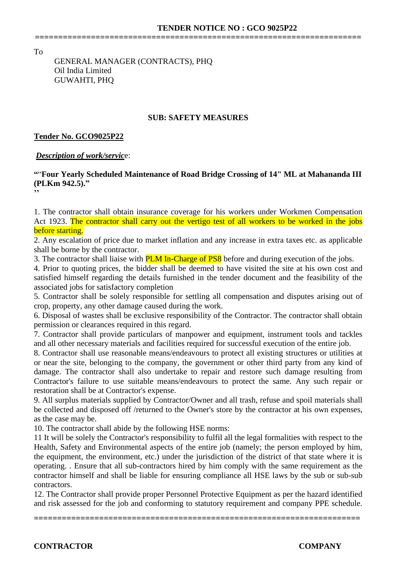To

# GENERAL MANAGER (CONTRACTS), PHQ Oil India Limited GUWAHTI, PHQ

#### **SUB: SAFETY MEASURES**

**======================================================================**

#### **Tender No. GCO9025P22**

#### *Description of work/servic*e:

#### **"**"**Four Yearly Scheduled Maintenance of Road Bridge Crossing of 14" ML at Mahananda III (PLKm 942.5)." ''**

1. The contractor shall obtain insurance coverage for his workers under Workmen Compensation Act 1923. The contractor shall carry out the vertigo test of all workers to be worked in the jobs before starting.

2. Any escalation of price due to market inflation and any increase in extra taxes etc. as applicable shall be borne by the contractor.

3. The contractor shall liaise with **PLM In-Charge of PS8** before and during execution of the jobs.

4. Prior to quoting prices, the bidder shall be deemed to have visited the site at his own cost and satisfied himself regarding the details furnished in the tender document and the feasibility of the associated jobs for satisfactory completion

5. Contractor shall be solely responsible for settling all compensation and disputes arising out of crop, property, any other damage caused during the work.

6. Disposal of wastes shall be exclusive responsibility of the Contractor. The contractor shall obtain permission or clearances required in this regard.

7. Contractor shall provide particulars of manpower and equipment, instrument tools and tackles and all other necessary materials and facilities required for successful execution of the entire job.

8. Contractor shall use reasonable means/endeavours to protect all existing structures or utilities at or near the site, belonging to the company, the government or other third party from any kind of damage. The contractor shall also undertake to repair and restore such damage resulting from Contractor's failure to use suitable means/endeavours to protect the same. Any such repair or restoration shall be at Contractor's expense.

9. All surplus materials supplied by Contractor/Owner and all trash, refuse and spoil materials shall be collected and disposed off /returned to the Owner's store by the contractor at his own expenses, as the case may be.

10. The contractor shall abide by the following HSE norms:

11 It will be solely the Contractor's responsibility to fulfil all the legal formalities with respect to the Health, Safety and Environmental aspects of the entire job (namely; the person employed by him, the equipment, the environment, etc.) under the jurisdiction of the district of that state where it is operating. . Ensure that all sub-contractors hired by him comply with the same requirement as the contractor himself and shall be liable for ensuring compliance all HSE laws by the sub or sub-sub contractors.

12. The Contractor shall provide proper Personnel Protective Equipment as per the hazard identified and risk assessed for the job and conforming to statutory requirement and company PPE schedule.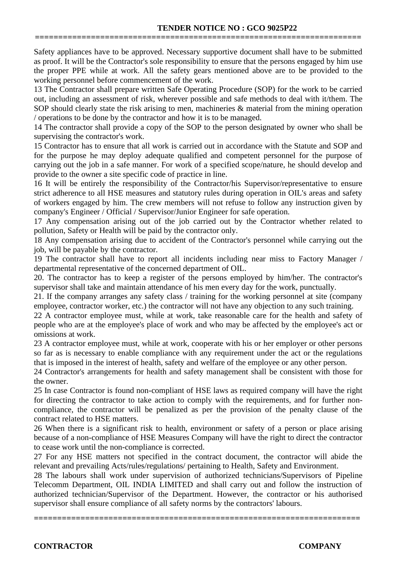Safety appliances have to be approved. Necessary supportive document shall have to be submitted as proof. It will be the Contractor's sole responsibility to ensure that the persons engaged by him use the proper PPE while at work. All the safety gears mentioned above are to be provided to the working personnel before commencement of the work.

**======================================================================**

13 The Contractor shall prepare written Safe Operating Procedure (SOP) for the work to be carried out, including an assessment of risk, wherever possible and safe methods to deal with it/them. The SOP should clearly state the risk arising to men, machineries & material from the mining operation / operations to be done by the contractor and how it is to be managed.

14 The contractor shall provide a copy of the SOP to the person designated by owner who shall be supervising the contractor's work.

15 Contractor has to ensure that all work is carried out in accordance with the Statute and SOP and for the purpose he may deploy adequate qualified and competent personnel for the purpose of carrying out the job in a safe manner. For work of a specified scope/nature, he should develop and provide to the owner a site specific code of practice in line.

16 It will be entirely the responsibility of the Contractor/his Supervisor/representative to ensure strict adherence to all HSE measures and statutory rules during operation in OIL's areas and safety of workers engaged by him. The crew members will not refuse to follow any instruction given by company's Engineer / Official / Supervisor/Junior Engineer for safe operation.

17 Any compensation arising out of the job carried out by the Contractor whether related to pollution, Safety or Health will be paid by the contractor only.

18 Any compensation arising due to accident of the Contractor's personnel while carrying out the job, will be payable by the contractor.

19 The contractor shall have to report all incidents including near miss to Factory Manager / departmental representative of the concerned department of OIL.

20. The contractor has to keep a register of the persons employed by him/her. The contractor's supervisor shall take and maintain attendance of his men every day for the work, punctually.

21. If the company arranges any safety class / training for the working personnel at site (company employee, contractor worker, etc.) the contractor will not have any objection to any such training.

22 A contractor employee must, while at work, take reasonable care for the health and safety of people who are at the employee's place of work and who may be affected by the employee's act or omissions at work.

23 A contractor employee must, while at work, cooperate with his or her employer or other persons so far as is necessary to enable compliance with any requirement under the act or the regulations that is imposed in the interest of health, safety and welfare of the employee or any other person.

24 Contractor's arrangements for health and safety management shall be consistent with those for the owner.

25 In case Contractor is found non-compliant of HSE laws as required company will have the right for directing the contractor to take action to comply with the requirements, and for further noncompliance, the contractor will be penalized as per the provision of the penalty clause of the contract related to HSE matters.

26 When there is a significant risk to health, environment or safety of a person or place arising because of a non-compliance of HSE Measures Company will have the right to direct the contractor to cease work until the non-compliance is corrected.

27 For any HSE matters not specified in the contract document, the contractor will abide the relevant and prevailing Acts/rules/regulations/ pertaining to Health, Safety and Environment.

28 The labours shall work under supervision of authorized technicians/Supervisors of Pipeline Telecomm Department, OIL INDIA LIMITED and shall carry out and follow the instruction of authorized technician/Supervisor of the Department. However, the contractor or his authorised supervisor shall ensure compliance of all safety norms by the contractors' labours.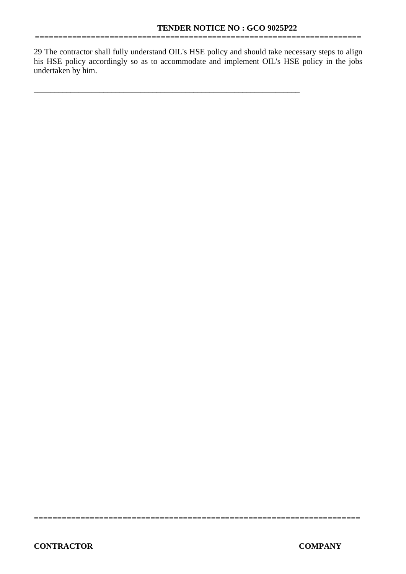29 The contractor shall fully understand OIL's HSE policy and should take necessary steps to align his HSE policy accordingly so as to accommodate and implement OIL's HSE policy in the jobs undertaken by him.

\_\_\_\_\_\_\_\_\_\_\_\_\_\_\_\_\_\_\_\_\_\_\_\_\_\_\_\_\_\_\_\_\_\_\_\_\_\_\_\_\_\_\_\_\_\_\_\_\_\_\_\_\_\_\_\_\_\_\_\_\_\_\_\_\_

**======================================================================**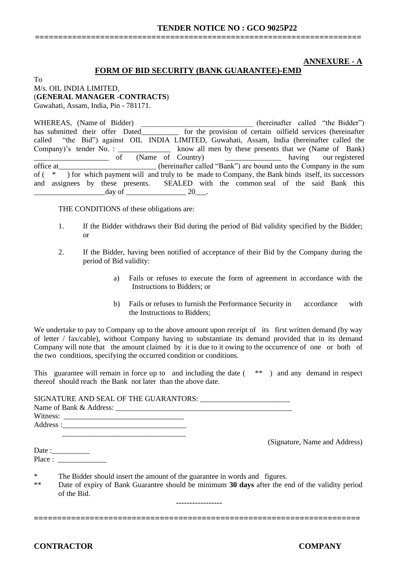#### **ANNEXURE - A**

#### **FORM OF BID SECURITY (BANK GUARANTEE)-EMD**

**======================================================================**

To M/s. OIL INDIA LIMITED, (**GENERAL MANAGER -CONTRACTS**) Guwahati, Assam, India, Pin - 781171.

WHEREAS, (Name of Bidder) (hereinafter called "the Bidder") has submitted their offer Dated for the provision of certain oilfield services (hereinafter called "the Bid") against OIL INDIA LIMITED, Guwahati, Assam, India (hereinafter called the Company)'s tender No. : \_\_\_\_\_\_\_\_\_\_\_\_\_ know all men by these presents that we (Name of Bank) \_\_\_\_\_\_\_\_\_\_\_\_\_\_\_\_\_\_\_\_ of (Name of Country) \_\_\_\_\_\_\_\_\_\_\_\_\_\_\_ having our registered office at (hereinafter called "Bank") are bound unto the Company in the sum of ( \* ) for which payment will and truly to be made to Company, the Bank binds itself, its successors and assignees by these presents. SEALED with the common seal of the said Bank this day of  $\qquad \qquad 20 \qquad .$ 

THE CONDITIONS of these obligations are:

- 1. If the Bidder withdraws their Bid during the period of Bid validity specified by the Bidder; or
- 2. If the Bidder, having been notified of acceptance of their Bid by the Company during the period of Bid validity:
	- a) Fails or refuses to execute the form of agreement in accordance with the Instructions to Bidders; or
	- b) Fails or refuses to furnish the Performance Security in accordance with the Instructions to Bidders;

We undertake to pay to Company up to the above amount upon receipt of its first written demand (by way of letter / fax/cable), without Company having to substantiate its demand provided that in its demand Company will note that the amount claimed by it is due to it owing to the occurrence of one or both of the two conditions, specifying the occurred condition or conditions.

This guarantee will remain in force up to and including the date ( \*\* ) and any demand in respect thereof should reach the Bank not later than the above date.

|                | SIGNATURE AND SEAL OF THE GUARANTORS:<br>Witness: $\frac{1}{\sqrt{1-\frac{1}{2}}\sqrt{1-\frac{1}{2}}\sqrt{1-\frac{1}{2}}\sqrt{1-\frac{1}{2}}\sqrt{1-\frac{1}{2}}\sqrt{1-\frac{1}{2}}\sqrt{1-\frac{1}{2}}\sqrt{1-\frac{1}{2}}\sqrt{1-\frac{1}{2}}\sqrt{1-\frac{1}{2}}\sqrt{1-\frac{1}{2}}\sqrt{1-\frac{1}{2}}\sqrt{1-\frac{1}{2}}\sqrt{1-\frac{1}{2}}\sqrt{1-\frac{1}{2}}\sqrt{1-\frac{1}{2}}\sqrt{1-\frac{1}{2}}\sqrt{1-\frac{1}{2}}\sqrt{1-\frac{1$ |
|----------------|------------------------------------------------------------------------------------------------------------------------------------------------------------------------------------------------------------------------------------------------------------------------------------------------------------------------------------------------------------------------------------------------------------------------------------------------------|
|                | (Signature, Name and Address)<br>Date : $\frac{1}{\sqrt{1-\frac{1}{2}} \cdot \frac{1}{2}}$<br>Place:                                                                                                                                                                                                                                                                                                                                                 |
| $\ast$<br>$**$ | The Bidder should insert the amount of the guarantee in words and figures.<br>Date of expiry of Bank Guarantee should be minimum 30 days after the end of the validity period<br>of the Bid.                                                                                                                                                                                                                                                         |

-----------------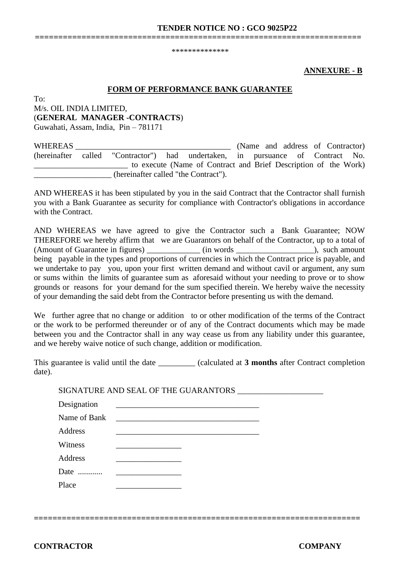\*\*\*\*\*\*\*\*\*\*\*\*\*\*

**======================================================================**

#### **ANNEXURE - B**

#### **FORM OF PERFORMANCE BANK GUARANTEE**

To: M/s. OIL INDIA LIMITED, (**GENERAL MANAGER -CONTRACTS**) Guwahati, Assam, India, Pin – 781171

WHEREAS WHEREAS (Name and address of Contractor) (hereinafter called "Contractor") had undertaken, in pursuance of Contract No. \_\_\_\_\_\_\_\_\_\_\_\_\_\_\_\_\_\_\_\_\_\_\_ to execute (Name of Contract and Brief Description of the Work) \_\_\_\_\_\_\_\_\_\_\_\_\_\_\_\_\_\_\_ (hereinafter called "the Contract").

AND WHEREAS it has been stipulated by you in the said Contract that the Contractor shall furnish you with a Bank Guarantee as security for compliance with Contractor's obligations in accordance with the Contract.

AND WHEREAS we have agreed to give the Contractor such a Bank Guarantee; NOW THEREFORE we hereby affirm that we are Guarantors on behalf of the Contractor, up to a total of (Amount of Guarantee in figures)  $\qquad \qquad$  (in words  $\qquad \qquad$ ), such amount being payable in the types and proportions of currencies in which the Contract price is payable, and we undertake to pay you, upon your first written demand and without cavil or argument, any sum or sums within the limits of guarantee sum as aforesaid without your needing to prove or to show grounds or reasons for your demand for the sum specified therein. We hereby waive the necessity of your demanding the said debt from the Contractor before presenting us with the demand.

We further agree that no change or addition to or other modification of the terms of the Contract or the work to be performed thereunder or of any of the Contract documents which may be made between you and the Contractor shall in any way cease us from any liability under this guarantee, and we hereby waive notice of such change, addition or modification.

This guarantee is valid until the date (calculated at **3 months** after Contract completion date).

**======================================================================** 

|              | SIUINATUKE AIND SEAL UP THE GUAKAINTUKS                                                                               |  |
|--------------|-----------------------------------------------------------------------------------------------------------------------|--|
| Designation  |                                                                                                                       |  |
| Name of Bank |                                                                                                                       |  |
| Address      | <u> 1989 - Johann John Harry Harry Harry Harry Harry Harry Harry Harry Harry Harry Harry Harry Harry Harry Harry</u>  |  |
| Witness      |                                                                                                                       |  |
| Address      | <u> 1999 - Johann Harry Harry Harry Harry Harry Harry Harry Harry Harry Harry Harry Harry Harry Harry Harry Harry</u> |  |
| Date         |                                                                                                                       |  |
| Place        |                                                                                                                       |  |
|              |                                                                                                                       |  |

SIGNATURE AND SEAL OF THE GUARANTORS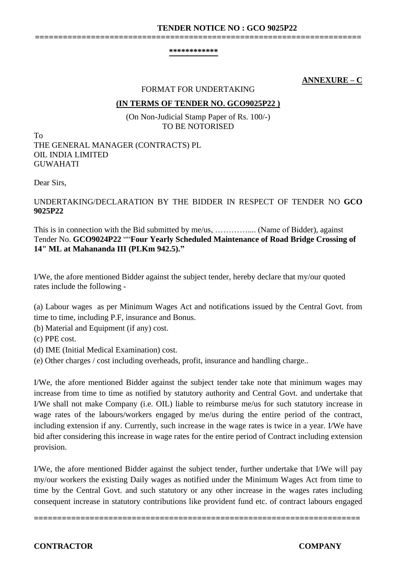#### **\*\*\*\*\*\*\*\*\*\*\*\***

**======================================================================**

# **ANNEXURE – C**

#### FORMAT FOR UNDERTAKING

#### **(IN TERMS OF TENDER NO. GCO9025P22 )**

(On Non-Judicial Stamp Paper of Rs. 100/-) TO BE NOTORISED

To THE GENERAL MANAGER (CONTRACTS) PL OIL INDIA LIMITED GUWAHATI

Dear Sirs,

# UNDERTAKING/DECLARATION BY THE BIDDER IN RESPECT OF TENDER NO **GCO 9025P22**

This is in connection with the Bid submitted by me/us, ………….... (Name of Bidder), against Tender No. **GCO9024P22** ""**Four Yearly Scheduled Maintenance of Road Bridge Crossing of 14" ML at Mahananda III (PLKm 942.5)."**

I/We, the afore mentioned Bidder against the subject tender, hereby declare that my/our quoted rates include the following -

(a) Labour wages as per Minimum Wages Act and notifications issued by the Central Govt. from time to time, including P.F, insurance and Bonus.

(b) Material and Equipment (if any) cost.

(c) PPE cost.

(d) IME (Initial Medical Examination) cost.

(e) Other charges / cost including overheads, profit, insurance and handling charge..

I/We, the afore mentioned Bidder against the subject tender take note that minimum wages may increase from time to time as notified by statutory authority and Central Govt. and undertake that I/We shall not make Company (i.e. OIL) liable to reimburse me/us for such statutory increase in wage rates of the labours/workers engaged by me/us during the entire period of the contract, including extension if any. Currently, such increase in the wage rates is twice in a year. I/We have bid after considering this increase in wage rates for the entire period of Contract including extension provision.

I/We, the afore mentioned Bidder against the subject tender, further undertake that I/We will pay my/our workers the existing Daily wages as notified under the Minimum Wages Act from time to time by the Central Govt. and such statutory or any other increase in the wages rates including consequent increase in statutory contributions like provident fund etc. of contract labours engaged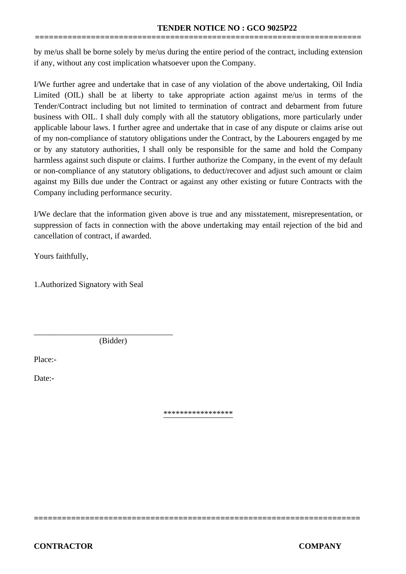by me/us shall be borne solely by me/us during the entire period of the contract, including extension if any, without any cost implication whatsoever upon the Company.

**======================================================================**

I/We further agree and undertake that in case of any violation of the above undertaking, Oil India Limited (OIL) shall be at liberty to take appropriate action against me/us in terms of the Tender/Contract including but not limited to termination of contract and debarment from future business with OIL. I shall duly comply with all the statutory obligations, more particularly under applicable labour laws. I further agree and undertake that in case of any dispute or claims arise out of my non-compliance of statutory obligations under the Contract, by the Labourers engaged by me or by any statutory authorities, I shall only be responsible for the same and hold the Company harmless against such dispute or claims. I further authorize the Company, in the event of my default or non-compliance of any statutory obligations, to deduct/recover and adjust such amount or claim against my Bills due under the Contract or against any other existing or future Contracts with the Company including performance security.

I/We declare that the information given above is true and any misstatement, misrepresentation, or suppression of facts in connection with the above undertaking may entail rejection of the bid and cancellation of contract, if awarded.

Yours faithfully,

1.Authorized Signatory with Seal

(Bidder)

\_\_\_\_\_\_\_\_\_\_\_\_\_\_\_\_\_\_\_\_\_\_\_\_\_\_\_\_\_\_\_\_\_\_

Place:-

Date:-

\*\*\*\*\*\*\*\*\*\*\*\*\*\*\*\*\*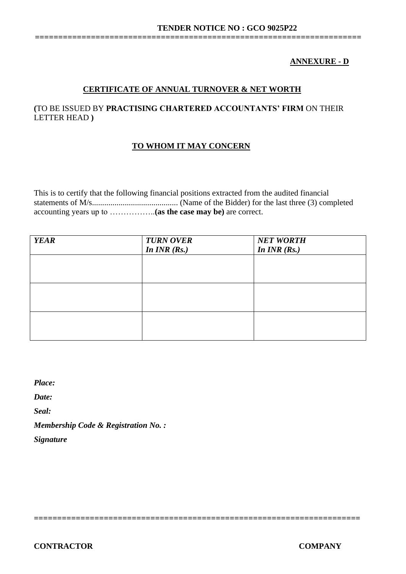# **ANNEXURE - D**

# **CERTIFICATE OF ANNUAL TURNOVER & NET WORTH**

**======================================================================**

# **(**TO BE ISSUED BY **PRACTISING CHARTERED ACCOUNTANTS' FIRM** ON THEIR LETTER HEAD **)**

# **TO WHOM IT MAY CONCERN**

This is to certify that the following financial positions extracted from the audited financial statements of M/s.......................................... (Name of the Bidder) for the last three (3) completed accounting years up to ……………..**(as the case may be)** are correct.

| <b>YEAR</b> | <b>TURN OVER</b> | <b>NET WORTH</b> |
|-------------|------------------|------------------|
|             | In $INR(Rs.)$    | In $INR$ (Rs.)   |
|             |                  |                  |
|             |                  |                  |
|             |                  |                  |
|             |                  |                  |
|             |                  |                  |
|             |                  |                  |
|             |                  |                  |
|             |                  |                  |
|             |                  |                  |

**======================================================================** 

*Place:*

*Date:*

*Seal:*

*Membership Code & Registration No. :*

*Signature*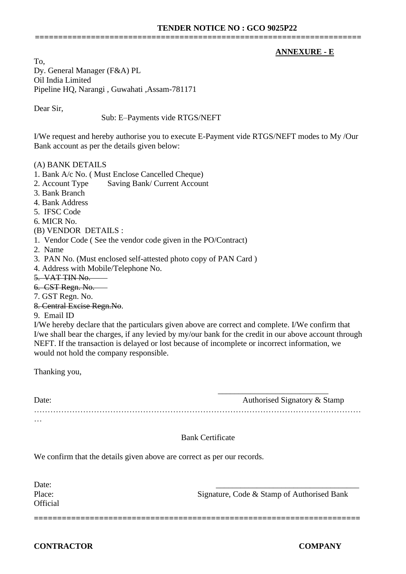# **ANNEXURE - E**

To, Dy. General Manager (F&A) PL Oil India Limited Pipeline HQ, Narangi , Guwahati ,Assam-781171

Dear Sir,

Sub: E–Payments vide RTGS/NEFT

I/We request and hereby authorise you to execute E-Payment vide RTGS/NEFT modes to My /Our Bank account as per the details given below:

**======================================================================**

(A) BANK DETAILS

- 1. Bank A/c No. ( Must Enclose Cancelled Cheque)
- 2. Account Type Saving Bank/ Current Account
- 3. Bank Branch
- 4. Bank Address
- 5. IFSC Code
- 6. MICR No.

(B) VENDOR DETAILS :

- 1. Vendor Code ( See the vendor code given in the PO/Contract)
- 2. Name
- 3. PAN No. (Must enclosed self-attested photo copy of PAN Card )
- 4. Address with Mobile/Telephone No.

5. VAT TIN No.

6. CST Regn. No.

7. GST Regn. No.

- 8. Central Excise Regn.No.
- 9. Email ID

I/We hereby declare that the particulars given above are correct and complete. I/We confirm that I/we shall bear the charges, if any levied by my/our bank for the credit in our above account through NEFT. If the transaction is delayed or lost because of incomplete or incorrect information, we would not hold the company responsible.

Thanking you,

| Date:    | Authorised Signatory & Stamp |
|----------|------------------------------|
|          |                              |
| $\cdots$ |                              |

# Bank Certificate

We confirm that the details given above are correct as per our records.

| Date:<br>Place:<br><b>Official</b> | Signature, Code & Stamp of Authorised Bank |
|------------------------------------|--------------------------------------------|
|                                    |                                            |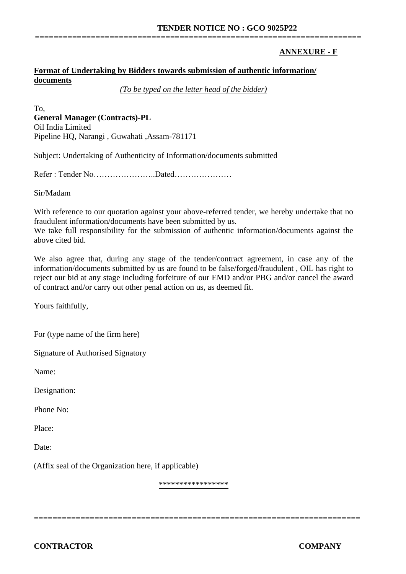# **ANNEXURE - F**

# **Format of Undertaking by Bidders towards submission of authentic information/ documents**

*(To be typed on the letter head of the bidder)*

**======================================================================**

To, **General Manager (Contracts)-PL** Oil India Limited Pipeline HQ, Narangi , Guwahati ,Assam-781171

Subject: Undertaking of Authenticity of Information/documents submitted

Refer : Tender No…………………..Dated…………………

Sir/Madam

With reference to our quotation against your above-referred tender, we hereby undertake that no fraudulent information/documents have been submitted by us.

We take full responsibility for the submission of authentic information/documents against the above cited bid.

We also agree that, during any stage of the tender/contract agreement, in case any of the information/documents submitted by us are found to be false/forged/fraudulent , OIL has right to reject our bid at any stage including forfeiture of our EMD and/or PBG and/or cancel the award of contract and/or carry out other penal action on us, as deemed fit.

Yours faithfully,

For (type name of the firm here)

Signature of Authorised Signatory

Name:

Designation:

Phone No:

Place:

Date:

(Affix seal of the Organization here, if applicable)

\*\*\*\*\*\*\*\*\*\*\*\*\*\*\*\*\*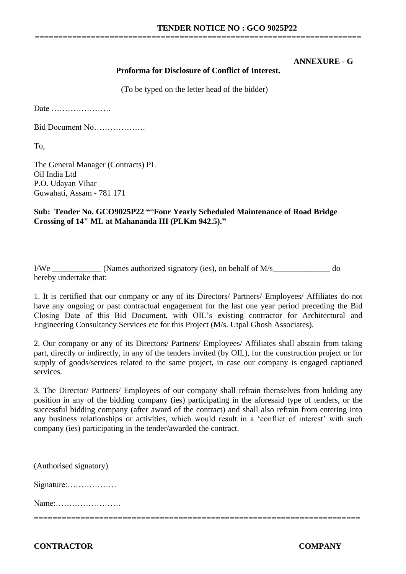#### **ANNEXURE - G**

#### **Proforma for Disclosure of Conflict of Interest.**

**======================================================================**

(To be typed on the letter head of the bidder)

Date ………………….

Bid Document No……………….

To,

The General Manager (Contracts) PL Oil India Ltd P.O. Udayan Vihar Guwahati, Assam - 781 171

#### **Sub: Tender No. GCO9025P22 "**"**Four Yearly Scheduled Maintenance of Road Bridge Crossing of 14" ML at Mahananda III (PLKm 942.5)."**

I/We \_\_\_\_\_\_\_\_\_\_\_\_ (Names authorized signatory (ies), on behalf of M/s\_\_\_\_\_\_\_\_\_\_\_\_\_\_ do hereby undertake that:

1. It is certified that our company or any of its Directors/ Partners/ Employees/ Affiliates do not have any ongoing or past contractual engagement for the last one year period preceding the Bid Closing Date of this Bid Document, with OIL's existing contractor for Architectural and Engineering Consultancy Services etc for this Project (M/s. Utpal Ghosh Associates).

2. Our company or any of its Directors/ Partners/ Employees/ Affiliates shall abstain from taking part, directly or indirectly, in any of the tenders invited (by OIL), for the construction project or for supply of goods/services related to the same project, in case our company is engaged captioned services.

3. The Director/ Partners/ Employees of our company shall refrain themselves from holding any position in any of the bidding company (ies) participating in the aforesaid type of tenders, or the successful bidding company (after award of the contract) and shall also refrain from entering into any business relationships or activities, which would result in a 'conflict of interest' with such company (ies) participating in the tender/awarded the contract.

**======================================================================**  (Authorised signatory) Signature:……………… Name:……………………